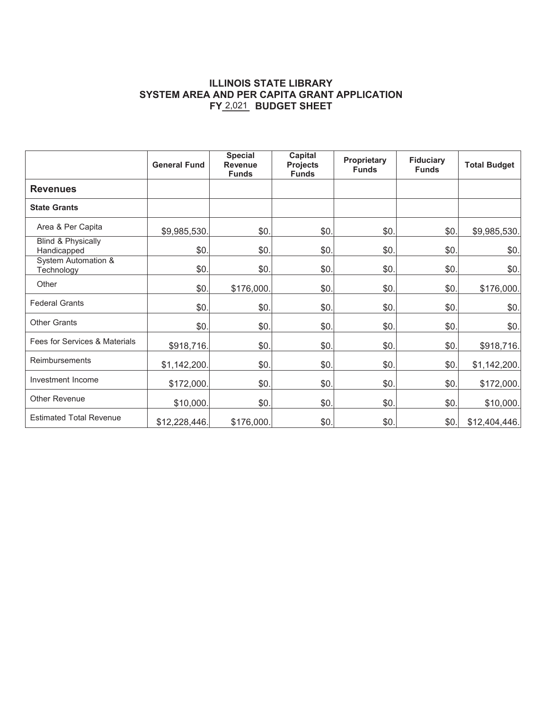### **ILLINOIS STATE LIBRARY SYSTEM AREA AND PER CAPITA GRANT APPLICATION**  FY 2,021 BUDGET SHEET

|                                              | <b>General Fund</b> | <b>Special</b><br><b>Revenue</b><br><b>Funds</b> | <b>Capital</b><br><b>Projects</b><br><b>Funds</b> | Proprietary<br><b>Funds</b> | <b>Fiduciary</b><br><b>Funds</b> | <b>Total Budget</b> |
|----------------------------------------------|---------------------|--------------------------------------------------|---------------------------------------------------|-----------------------------|----------------------------------|---------------------|
| <b>Revenues</b>                              |                     |                                                  |                                                   |                             |                                  |                     |
| <b>State Grants</b>                          |                     |                                                  |                                                   |                             |                                  |                     |
| Area & Per Capita                            | \$9,985,530.        | \$0.                                             | \$0.                                              | \$0.                        | \$0.                             | \$9,985,530.        |
| <b>Blind &amp; Physically</b><br>Handicapped | \$0                 | \$0.                                             | \$0.                                              | \$0.                        | \$0.                             | \$0.                |
| <b>System Automation &amp;</b><br>Technology | \$0.                | \$0.                                             | \$0.                                              | \$0.                        | \$0.                             | \$0.                |
| Other                                        | \$0.                | \$176,000.                                       | \$0.                                              | \$0.                        | \$0.                             | \$176,000.          |
| <b>Federal Grants</b>                        | \$0.                | \$0.                                             | \$0.                                              | \$0.                        | \$0.                             | \$0.                |
| <b>Other Grants</b>                          | \$0.                | \$0.                                             | \$0.                                              | \$0.                        | \$0.                             | \$0.                |
| Fees for Services & Materials                | \$918,716.          | \$0.                                             | \$0.                                              | \$0.                        | \$0.                             | \$918,716.          |
| Reimbursements                               | \$1,142,200.        | \$0.                                             | \$0.                                              | \$0.                        | \$0.                             | \$1,142,200.        |
| Investment Income                            | \$172,000.          | \$0.                                             | \$0.                                              | \$0.                        | \$0.                             | \$172,000.          |
| <b>Other Revenue</b>                         | \$10,000.           | \$0.                                             | \$0.                                              | \$0.                        | \$0.                             | \$10,000.           |
| <b>Estimated Total Revenue</b>               | \$12,228,446.       | \$176,000.                                       | \$0.                                              | \$0.                        | \$0.                             | \$12,404,446.       |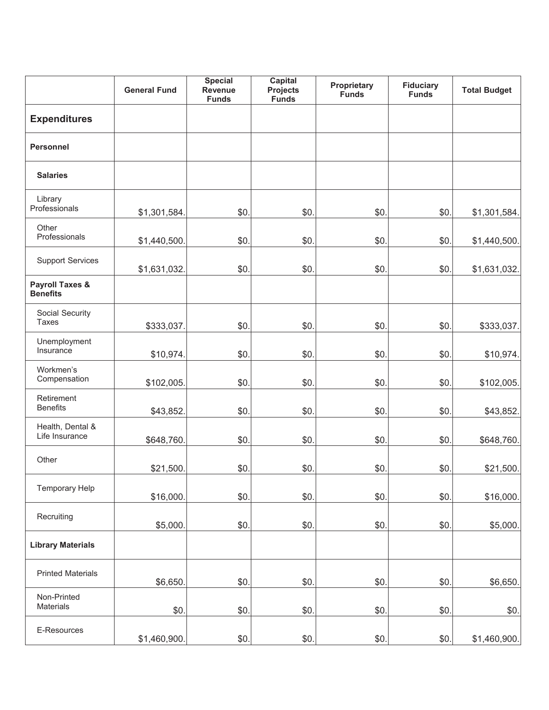|                                               | <b>General Fund</b> | <b>Special</b><br>Revenue<br><b>Funds</b> | <b>Capital</b><br><b>Projects</b><br><b>Funds</b> | Proprietary<br><b>Funds</b> | <b>Fiduciary</b><br><b>Funds</b> | <b>Total Budget</b> |
|-----------------------------------------------|---------------------|-------------------------------------------|---------------------------------------------------|-----------------------------|----------------------------------|---------------------|
| <b>Expenditures</b>                           |                     |                                           |                                                   |                             |                                  |                     |
| <b>Personnel</b>                              |                     |                                           |                                                   |                             |                                  |                     |
| <b>Salaries</b>                               |                     |                                           |                                                   |                             |                                  |                     |
| Library<br>Professionals                      | \$1,301,584.        | \$0.                                      | \$0.                                              | \$0                         | \$0.                             | \$1,301,584.        |
| Other<br>Professionals                        | \$1,440,500.        | \$0.                                      | \$0.                                              | \$0.                        | \$0.                             | \$1,440,500.        |
| <b>Support Services</b>                       | \$1,631,032.        | \$0.                                      | \$0.                                              | \$0.                        | \$0.                             | \$1,631,032.        |
| <b>Payroll Taxes &amp;</b><br><b>Benefits</b> |                     |                                           |                                                   |                             |                                  |                     |
| Social Security<br>Taxes                      | \$333,037.          | \$0.                                      | \$0.                                              | \$0.                        | \$0.                             | \$333,037.          |
| Unemployment<br>Insurance                     | \$10,974.           | \$0.                                      | \$0.                                              | \$0.                        | \$0.                             | \$10,974.           |
| Workmen's<br>Compensation                     | \$102,005.          | \$0.                                      | \$0.                                              | \$0                         | \$0.                             | \$102,005.          |
| Retirement<br><b>Benefits</b>                 | \$43,852.           | \$0.                                      | \$0.                                              | \$0.                        | \$0.                             | \$43,852.           |
| Health, Dental &<br>Life Insurance            | \$648,760.          | \$0.                                      | \$0.                                              | \$0.                        | \$0.                             | \$648,760.          |
| Other                                         | \$21,500.           | \$0.                                      | \$0.                                              | \$0.                        | \$0.                             | \$21,500.           |
| <b>Temporary Help</b>                         | \$16,000.           | \$0.                                      | \$0.                                              | \$0.                        | \$0.                             | \$16,000.           |
| Recruiting                                    | \$5,000.            | \$0.                                      | \$0.                                              | \$0.                        | \$0.                             | \$5,000.            |
| <b>Library Materials</b>                      |                     |                                           |                                                   |                             |                                  |                     |
| <b>Printed Materials</b>                      | \$6,650.            | \$0.                                      | \$0                                               | \$0                         | \$0.                             | \$6,650.            |
| Non-Printed<br>Materials                      | \$0.                | \$0.                                      | \$0.                                              | \$0.                        | \$0.                             | \$0.                |
| E-Resources                                   | \$1,460,900.        | \$0.                                      | \$0.                                              | \$0.                        | \$0.                             | \$1,460,900.        |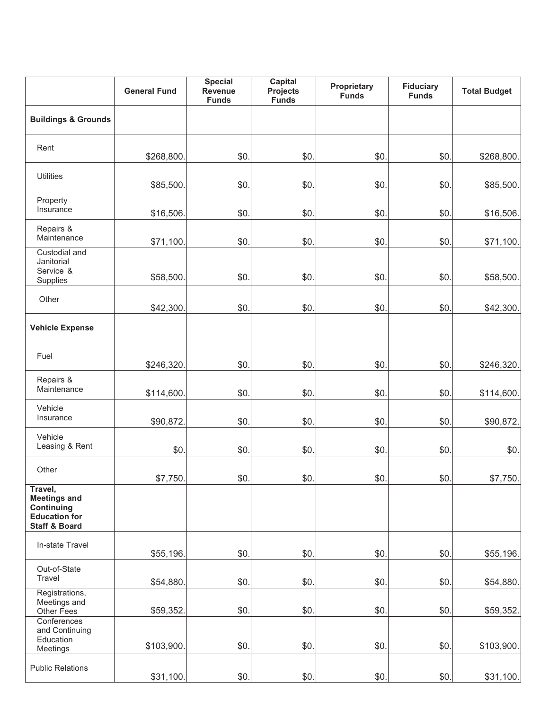|                                                                                                  | <b>General Fund</b> | <b>Special</b><br>Revenue<br><b>Funds</b> | <b>Capital</b><br>Projects<br><b>Funds</b> | Proprietary<br><b>Funds</b> | <b>Fiduciary</b><br><b>Funds</b> | <b>Total Budget</b> |
|--------------------------------------------------------------------------------------------------|---------------------|-------------------------------------------|--------------------------------------------|-----------------------------|----------------------------------|---------------------|
| <b>Buildings &amp; Grounds</b>                                                                   |                     |                                           |                                            |                             |                                  |                     |
| Rent                                                                                             | \$268,800.          | \$0.                                      | \$0.                                       | \$0.                        | \$0.                             | \$268,800.          |
| <b>Utilities</b>                                                                                 | \$85,500.           | \$0.                                      | \$0                                        | \$0.                        | \$0.                             | \$85,500.           |
| Property<br>Insurance                                                                            | \$16,506.           | \$0.                                      | \$0.                                       | \$0.                        | \$0.                             | \$16,506.           |
| Repairs &<br>Maintenance                                                                         | \$71,100.           | \$0.                                      | \$0.                                       | \$0.                        | \$0.                             | \$71,100.           |
| <b>Custodial and</b><br>Janitorial<br>Service &<br>Supplies                                      | \$58,500.           | \$0.                                      | \$0                                        | \$0.                        | \$0.                             | \$58,500.           |
| Other                                                                                            | \$42,300.           | \$0.                                      | \$0.                                       | \$0.                        | \$0.                             | \$42,300.           |
| <b>Vehicle Expense</b>                                                                           |                     |                                           |                                            |                             |                                  |                     |
| Fuel                                                                                             | \$246,320.          | \$0.                                      | \$0.                                       | \$0.                        | \$0.                             | \$246,320.          |
| Repairs &<br>Maintenance                                                                         | \$114,600.          | \$0.                                      | \$0.                                       | \$0.                        | \$0.                             | \$114,600.          |
| Vehicle<br>Insurance                                                                             | \$90,872.           | \$0.                                      | \$0.                                       | \$0.                        | \$0.                             | \$90,872.           |
| Vehicle<br>Leasing & Rent                                                                        | \$0.                | \$0.                                      | \$0.                                       | \$0.                        | \$0.                             | \$0.                |
| Other                                                                                            | \$7,750.            | \$0.                                      | \$0.                                       | \$0.                        | \$0.                             | \$7,750.            |
| Travel,<br><b>Meetings and</b><br>Continuing<br><b>Education for</b><br><b>Staff &amp; Board</b> |                     |                                           |                                            |                             |                                  |                     |
| In-state Travel                                                                                  | \$55,196.           | \$0.                                      | \$0.                                       | \$0.                        | \$0.                             | \$55,196.           |
| Out-of-State<br>Travel                                                                           | \$54,880.           | \$0.                                      | \$0.                                       | \$0.                        | \$0.                             | \$54,880.           |
| Registrations,<br>Meetings and<br>Other Fees                                                     | \$59,352.           | \$0.                                      | \$0.                                       | \$0.                        | \$0.                             | \$59,352.           |
| Conferences<br>and Continuing<br>Education<br>Meetings                                           | \$103,900.          | \$0.                                      | \$0.                                       | \$0.                        | \$0.                             | \$103,900.          |
| <b>Public Relations</b>                                                                          | \$31,100.           | \$0.                                      | \$0.                                       | \$0.                        | \$0.                             | \$31,100.           |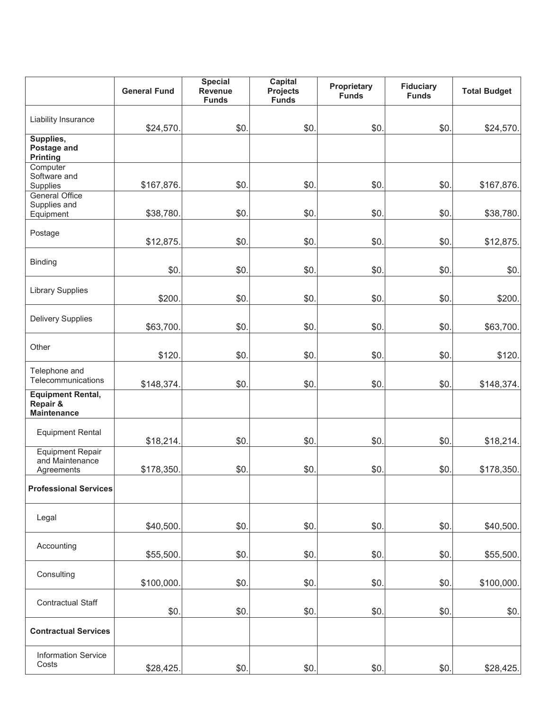|                                                            | <b>General Fund</b> | <b>Special</b><br>Revenue<br><b>Funds</b> | <b>Capital</b><br><b>Projects</b><br><b>Funds</b> | Proprietary<br><b>Funds</b> | <b>Fiduciary</b><br><b>Funds</b> | <b>Total Budget</b> |
|------------------------------------------------------------|---------------------|-------------------------------------------|---------------------------------------------------|-----------------------------|----------------------------------|---------------------|
| Liability Insurance                                        | \$24,570.           | \$0.                                      | \$0.                                              | \$0.                        | \$0.                             | \$24,570.           |
| Supplies,<br>Postage and<br><b>Printing</b>                |                     |                                           |                                                   |                             |                                  |                     |
| Computer<br>Software and<br>Supplies                       | \$167,876.          | \$0.                                      | \$0.                                              | \$0.                        | \$0.                             | \$167,876.          |
| <b>General Office</b><br>Supplies and<br>Equipment         | \$38,780.           | \$0.                                      | \$0.                                              | \$0.                        | \$0.                             | \$38,780.           |
| Postage                                                    | \$12,875.           | \$0.                                      | \$0.                                              | \$0.                        | \$0.                             | \$12,875.           |
| <b>Binding</b>                                             | \$0.                | \$0.                                      | \$0.                                              | \$0.                        | \$0.                             | \$0.                |
| <b>Library Supplies</b>                                    | \$200.              | \$0.                                      | \$0.                                              | \$0.                        | \$0.                             | \$200.              |
| <b>Delivery Supplies</b>                                   | \$63,700.           | \$0.                                      | \$0.                                              | \$0.                        | \$0.                             | \$63,700.           |
| Other                                                      | \$120               | \$0.                                      | \$0.                                              | \$0.                        | \$0.                             | \$120.              |
| Telephone and<br>Telecommunications                        | \$148,374.          | \$0.                                      | \$0.                                              | \$0.                        | \$0.                             | \$148,374.          |
| <b>Equipment Rental,</b><br>Repair &<br><b>Maintenance</b> |                     |                                           |                                                   |                             |                                  |                     |
| <b>Equipment Rental</b>                                    | \$18,214.           | \$0.                                      | \$0.                                              | \$0.                        | \$0.                             | \$18,214.           |
| <b>Equipment Repair</b><br>and Maintenance<br>Agreements   | \$178,350.          | \$0.                                      | \$0.                                              | \$0.                        | \$0.                             | \$178,350.          |
| <b>Professional Services</b>                               |                     |                                           |                                                   |                             |                                  |                     |
| Legal                                                      | \$40,500.           | \$0.                                      | \$0.                                              | \$0.                        | \$0.                             | \$40,500.           |
| Accounting                                                 | \$55,500            | \$0.                                      | \$0.                                              | \$0.                        | \$0.                             | \$55,500.           |
| Consulting                                                 | \$100,000.          | \$0.                                      | \$0.                                              | \$0.                        | \$0.                             | \$100,000.          |
| <b>Contractual Staff</b>                                   | \$0.                | \$0.                                      | \$0.                                              | \$0.                        | \$0.                             | \$0.                |
| <b>Contractual Services</b>                                |                     |                                           |                                                   |                             |                                  |                     |
| <b>Information Service</b><br>Costs                        | \$28,425.           | \$0.                                      | \$0.                                              | \$0.                        | \$0.                             | \$28,425.           |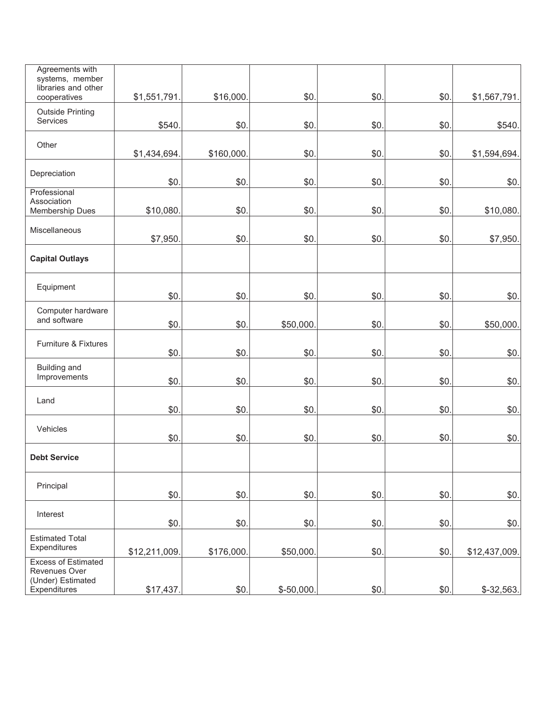| Agreements with<br>systems, member<br>libraries and other<br>cooperatives        | \$1,551,791.  | \$16,000.  | \$0.        | \$0. | \$0. | \$1,567,791.  |
|----------------------------------------------------------------------------------|---------------|------------|-------------|------|------|---------------|
| <b>Outside Printing</b><br>Services                                              | \$540         | \$0.       | \$0.        | \$0. | \$0. | \$540.        |
| Other                                                                            | \$1,434,694.  | \$160,000. | \$0.        | \$0. | \$0. | \$1,594,694.  |
| Depreciation                                                                     | \$0.          | \$0.       | \$0.        | \$0  | \$0. | \$0.          |
| Professional<br>Association<br>Membership Dues                                   | \$10,080      | \$0.       | \$0.        | \$0  | \$0. | \$10,080.     |
| Miscellaneous                                                                    | \$7,950.      | \$0.       | \$0.        | \$0. | \$0. | \$7,950.      |
| <b>Capital Outlays</b>                                                           |               |            |             |      |      |               |
| Equipment                                                                        | \$0           | \$0.       | \$0.        | \$0  | \$0. | \$0.          |
| Computer hardware<br>and software                                                | \$0           | \$0.       | \$50,000.   | \$0. | \$0. | \$50,000.     |
| Furniture & Fixtures                                                             | \$0           | \$0.       | \$0.        | \$0. | \$0. | \$0.          |
| <b>Building and</b><br>Improvements                                              | \$0           | \$0.       | \$0.        | \$0  | \$0. | \$0.          |
| Land                                                                             | \$0           | \$0.       | \$0.        | \$0. | \$0. | \$0.          |
| Vehicles                                                                         | \$0           | \$0.       | \$0.        | \$0. | \$0. | \$0.          |
| <b>Debt Service</b>                                                              |               |            |             |      |      |               |
| Principal                                                                        | \$0.          | \$0.       | \$0.        | \$0. | \$0. | \$0.          |
| Interest                                                                         | \$0.          | \$0.       | \$0.        | \$0. | \$0. | \$0.          |
| <b>Estimated Total</b><br>Expenditures                                           | \$12,211,009. | \$176,000. | \$50,000.   | \$0. | \$0. | \$12,437,009. |
| <b>Excess of Estimated</b><br>Revenues Over<br>(Under) Estimated<br>Expenditures | \$17,437.     | \$0.       | $$-50,000.$ | \$0. | \$0. | $$-32,563.$   |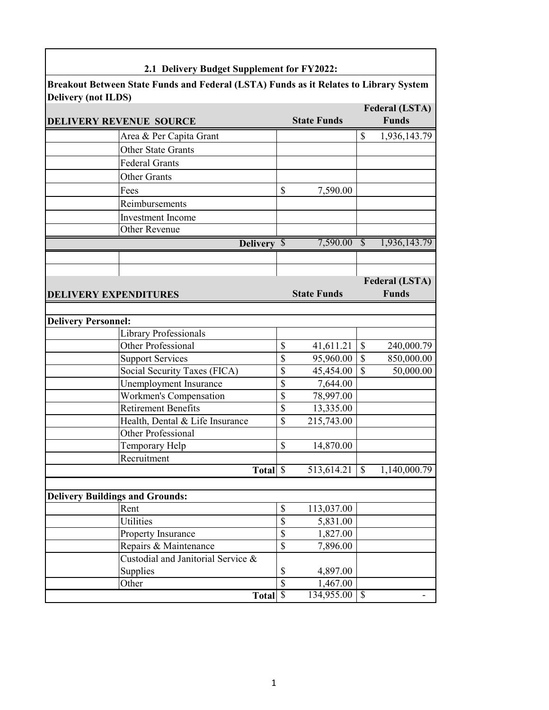| 2.1 Delivery Budget Supplement for FY2022:                                                                          |                          |                    |                          |                       |
|---------------------------------------------------------------------------------------------------------------------|--------------------------|--------------------|--------------------------|-----------------------|
|                                                                                                                     |                          |                    |                          |                       |
| Breakout Between State Funds and Federal (LSTA) Funds as it Relates to Library System<br><b>Delivery (not ILDS)</b> |                          |                    |                          |                       |
|                                                                                                                     |                          |                    |                          | <b>Federal (LSTA)</b> |
| <b>DELIVERY REVENUE SOURCE</b>                                                                                      |                          | <b>State Funds</b> |                          | <b>Funds</b>          |
| Area & Per Capita Grant                                                                                             |                          |                    | \$                       | 1,936,143.79          |
| <b>Other State Grants</b>                                                                                           |                          |                    |                          |                       |
| <b>Federal Grants</b>                                                                                               |                          |                    |                          |                       |
| <b>Other Grants</b>                                                                                                 |                          |                    |                          |                       |
| Fees                                                                                                                | \$                       | 7,590.00           |                          |                       |
| Reimbursements                                                                                                      |                          |                    |                          |                       |
| <b>Investment</b> Income                                                                                            |                          |                    |                          |                       |
| <b>Other Revenue</b>                                                                                                |                          |                    |                          |                       |
| Delivery \$                                                                                                         |                          | $7,590.00$ \$      |                          | 1,936,143.79          |
|                                                                                                                     |                          |                    |                          |                       |
|                                                                                                                     |                          |                    |                          |                       |
|                                                                                                                     |                          |                    |                          | <b>Federal (LSTA)</b> |
| <b>DELIVERY EXPENDITURES</b>                                                                                        |                          | <b>State Funds</b> |                          | <b>Funds</b>          |
|                                                                                                                     |                          |                    |                          |                       |
| <b>Delivery Personnel:</b>                                                                                          |                          |                    |                          |                       |
| <b>Library Professionals</b>                                                                                        |                          |                    |                          |                       |
| Other Professional                                                                                                  | \$                       | 41,611.21          | \$                       | 240,000.79            |
| <b>Support Services</b>                                                                                             | \$                       | 95,960.00          | \$                       | 850,000.00            |
| Social Security Taxes (FICA)                                                                                        | \$                       | 45,454.00          | \$                       | 50,000.00             |
| Unemployment Insurance                                                                                              | \$                       | 7,644.00           |                          |                       |
| Workmen's Compensation                                                                                              | \$                       | 78,997.00          |                          |                       |
| <b>Retirement Benefits</b>                                                                                          | \$                       | 13,335.00          |                          |                       |
| Health, Dental & Life Insurance                                                                                     | \$                       | 215,743.00         |                          |                       |
| Other Professional                                                                                                  |                          |                    |                          |                       |
| Temporary Help                                                                                                      | \$                       | 14,870.00          |                          |                       |
| Recruitment                                                                                                         |                          |                    |                          |                       |
| Total \$                                                                                                            |                          | 513,614.21         | $\overline{\mathcal{S}}$ | 1,140,000.79          |
|                                                                                                                     |                          |                    |                          |                       |
| <b>Delivery Buildings and Grounds:</b>                                                                              |                          |                    |                          |                       |
| Rent                                                                                                                | \$                       | 113,037.00         |                          |                       |
| Utilities                                                                                                           | \$                       | 5,831.00           |                          |                       |
| Property Insurance                                                                                                  | \$                       | 1,827.00           |                          |                       |
| Repairs & Maintenance                                                                                               | \$                       | 7,896.00           |                          |                       |
| Custodial and Janitorial Service &                                                                                  |                          |                    |                          |                       |
| Supplies                                                                                                            | \$                       | 4,897.00           |                          |                       |
| Other                                                                                                               | \$                       | 1,467.00           |                          |                       |
| <b>Total</b>                                                                                                        | $\overline{\mathcal{S}}$ | 134,955.00         | \$                       |                       |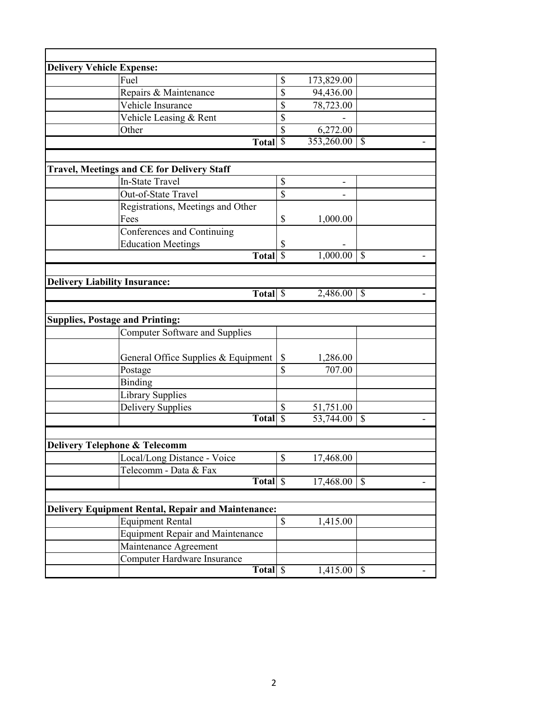| <b>Delivery Vehicle Expense:</b>                          |                          |            |                          |
|-----------------------------------------------------------|--------------------------|------------|--------------------------|
| Fuel                                                      | \$                       | 173,829.00 |                          |
| Repairs & Maintenance                                     | \$                       | 94,436.00  |                          |
| Vehicle Insurance                                         | \$                       | 78,723.00  |                          |
| Vehicle Leasing & Rent                                    | \$                       |            |                          |
| Other                                                     | \$                       | 6,272.00   |                          |
| <b>Total</b>                                              | $\overline{\mathcal{S}}$ | 353,260.00 | $\overline{\mathcal{S}}$ |
|                                                           |                          |            |                          |
| <b>Travel, Meetings and CE for Delivery Staff</b>         |                          |            |                          |
| <b>In-State Travel</b>                                    | $\mathbb S$              | -          |                          |
| Out-of-State Travel                                       | \$                       |            |                          |
| Registrations, Meetings and Other                         |                          |            |                          |
| Fees                                                      | \$                       | 1,000.00   |                          |
| Conferences and Continuing                                |                          |            |                          |
| <b>Education Meetings</b>                                 | \$                       |            |                          |
| Total <sup>S</sup>                                        |                          | 1,000.00   | $\mathcal{S}$            |
|                                                           |                          |            |                          |
|                                                           |                          |            |                          |
| <b>Delivery Liability Insurance:</b><br>Total \$          |                          | 2,486.00   | $\mathcal{S}$            |
|                                                           |                          |            |                          |
|                                                           |                          |            |                          |
| <b>Supplies, Postage and Printing:</b>                    |                          |            |                          |
| <b>Computer Software and Supplies</b>                     |                          |            |                          |
|                                                           |                          |            |                          |
| General Office Supplies & Equipment                       | $\mathsf{\$}$            | 1,286.00   |                          |
| Postage                                                   | \$                       | 707.00     |                          |
| Binding                                                   |                          |            |                          |
| Library Supplies                                          |                          |            |                          |
| <b>Delivery Supplies</b>                                  | \$                       | 51,751.00  |                          |
| <b>Total</b>                                              | $\overline{\mathcal{S}}$ | 53,744.00  | $\mathcal{S}$            |
|                                                           |                          |            |                          |
| <b>Delivery Telephone &amp; Telecomm</b>                  |                          |            |                          |
| Local/Long Distance - Voice                               | \$                       | 17,468.00  |                          |
| Telecomm - Data & Fax                                     |                          |            |                          |
| Total \$                                                  |                          | 17,468.00  | $\mathbb{S}$             |
|                                                           |                          |            |                          |
| <b>Delivery Equipment Rental, Repair and Maintenance:</b> |                          |            |                          |
| <b>Equipment Rental</b>                                   | \$                       | 1,415.00   |                          |
| <b>Equipment Repair and Maintenance</b>                   |                          |            |                          |
| Maintenance Agreement                                     |                          |            |                          |
| Computer Hardware Insurance                               |                          |            |                          |
| Total \$                                                  |                          | 1,415.00   | $\mathbb{S}$<br>-        |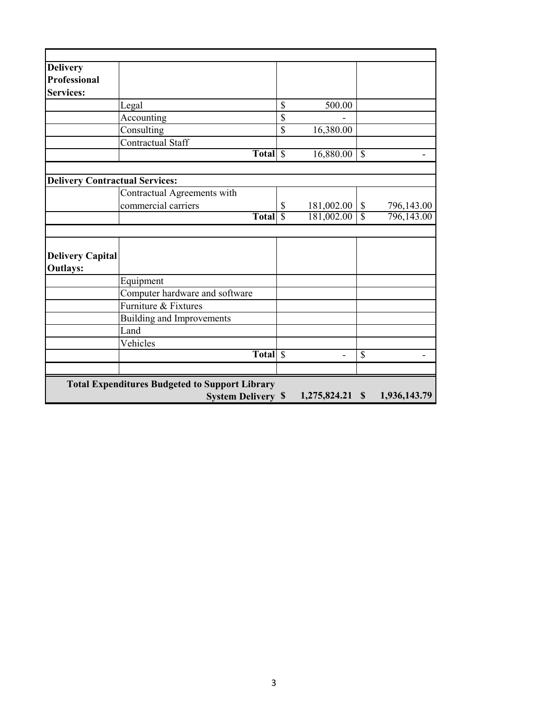| <b>Delivery</b>                       |                                                       |                          |                   |                          |              |
|---------------------------------------|-------------------------------------------------------|--------------------------|-------------------|--------------------------|--------------|
| <b>Professional</b>                   |                                                       |                          |                   |                          |              |
| <b>Services:</b>                      |                                                       |                          |                   |                          |              |
|                                       | Legal                                                 | \$                       | 500.00            |                          |              |
|                                       | Accounting                                            | \$                       |                   |                          |              |
|                                       | Consulting                                            | \$                       | 16,380.00         |                          |              |
|                                       | Contractual Staff                                     |                          |                   |                          |              |
|                                       | Total S                                               |                          | 16,880.00         | $\overline{\mathcal{S}}$ |              |
|                                       |                                                       |                          |                   |                          |              |
| <b>Delivery Contractual Services:</b> |                                                       |                          |                   |                          |              |
|                                       | Contractual Agreements with                           |                          |                   |                          |              |
|                                       | commercial carriers                                   | $\mathbb{S}$             | 181,002.00        | $\mathbb{S}$             | 796,143.00   |
|                                       | Total \$                                              |                          | 181,002.00        | $\overline{\mathcal{S}}$ | 796,143.00   |
|                                       |                                                       |                          |                   |                          |              |
|                                       |                                                       |                          |                   |                          |              |
| <b>Delivery Capital</b>               |                                                       |                          |                   |                          |              |
| <b>Outlays:</b>                       |                                                       |                          |                   |                          |              |
|                                       | Equipment                                             |                          |                   |                          |              |
|                                       | Computer hardware and software                        |                          |                   |                          |              |
|                                       | Furniture & Fixtures                                  |                          |                   |                          |              |
|                                       | Building and Improvements                             |                          |                   |                          |              |
|                                       | Land                                                  |                          |                   |                          |              |
|                                       | Vehicles                                              |                          |                   |                          |              |
|                                       | <b>Total</b>                                          | $\overline{\mathcal{S}}$ |                   | $\overline{\mathcal{S}}$ |              |
|                                       |                                                       |                          |                   |                          |              |
|                                       | <b>Total Expenditures Budgeted to Support Library</b> |                          |                   |                          |              |
|                                       | <b>System Delivery \$</b>                             |                          | $1,275,824.21$ \$ |                          | 1,936,143.79 |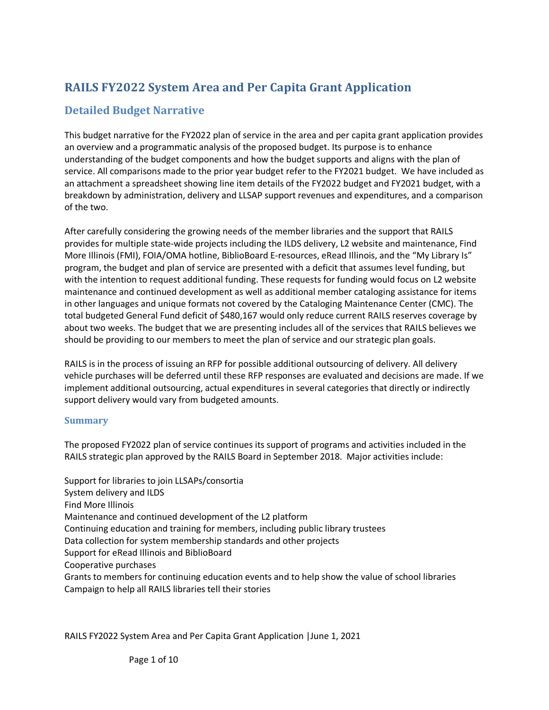# **RAILS FY2022 System Area and Per Capita Grant Application**

## **Detailed Budget Narrative**

This budget narrative for the FY2022 plan of service in the area and per capita grant application provides an overview and a programmatic analysis of the proposed budget. Its purpose is to enhance understanding of the budget components and how the budget supports and aligns with the plan of service. All comparisons made to the prior year budget refer to the FY2021 budget. We have included as an attachment a spreadsheet showing line item details of the FY2022 budget and FY2021 budget, with a breakdown by administration, delivery and LLSAP support revenues and expenditures, and a comparison of the two.

After carefully considering the growing needs of the member libraries and the support that RAILS provides for multiple state-wide projects including the ILDS delivery, L2 website and maintenance, Find More Illinois (FMI), FOIA/OMA hotline, BiblioBoard E-resources, eRead Illinois, and the "My Library Is" program, the budget and plan of service are presented with a deficit that assumes level funding, but with the intention to request additional funding. These requests for funding would focus on L2 website maintenance and continued development as well as additional member cataloging assistance for items in other languages and unique formats not covered by the Cataloging Maintenance Center (CMC). The total budgeted General Fund deficit of \$480,167 would only reduce current RAILS reserves coverage by about two weeks. The budget that we are presenting includes all of the services that RAILS believes we should be providing to our members to meet the plan of service and our strategic plan goals.

RAILS is in the process of issuing an RFP for possible additional outsourcing of delivery. All delivery vehicle purchases will be deferred until these RFP responses are evaluated and decisions are made. If we implement additional outsourcing, actual expenditures in several categories that directly or indirectly support delivery would vary from budgeted amounts.

### **Summary**

The proposed FY2022 plan of service continues its support of programs and activities included in the RAILS strategic plan approved by the RAILS Board in September 2018. Major activities include:

Support for libraries to join LLSAPs/consortia System delivery and ILDS Find More Illinois Maintenance and continued development of the L2 platform Continuing education and training for members, including public library trustees Data collection for system membership standards and other projects Support for eRead Illinois and BiblioBoard Cooperative purchases Grants to members for continuing education events and to help show the value of school libraries Campaign to help all RAILS libraries tell their stories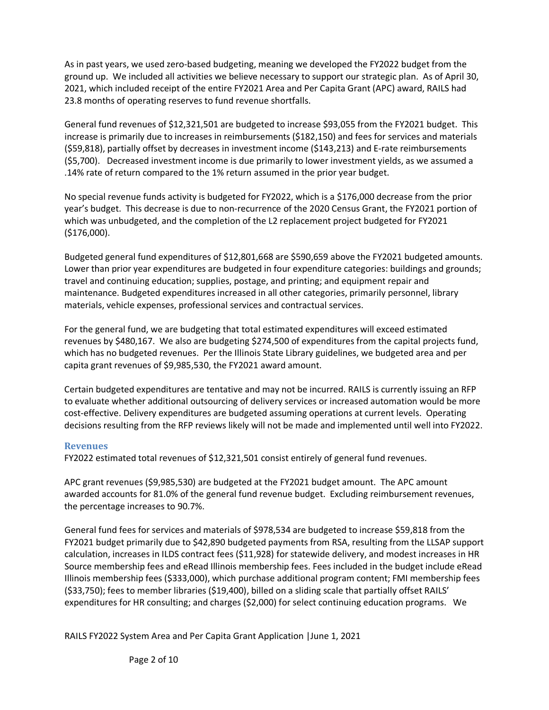As in past years, we used zero-based budgeting, meaning we developed the FY2022 budget from the ground up. We included all activities we believe necessary to support our strategic plan. As of April 30, 2021, which included receipt of the entire FY2021 Area and Per Capita Grant (APC) award, RAILS had 23.8 months of operating reserves to fund revenue shortfalls.

General fund revenues of \$12,321,501 are budgeted to increase \$93,055 from the FY2021 budget. This increase is primarily due to increases in reimbursements (\$182,150) and fees for services and materials (\$59,818), partially offset by decreases in investment income (\$143,213) and E-rate reimbursements (\$5,700). Decreased investment income is due primarily to lower investment yields, as we assumed a .14% rate of return compared to the 1% return assumed in the prior year budget.

No special revenue funds activity is budgeted for FY2022, which is a \$176,000 decrease from the prior year's budget. This decrease is due to non-recurrence of the 2020 Census Grant, the FY2021 portion of which was unbudgeted, and the completion of the L2 replacement project budgeted for FY2021 (\$176,000).

Budgeted general fund expenditures of \$12,801,668 are \$590,659 above the FY2021 budgeted amounts. Lower than prior year expenditures are budgeted in four expenditure categories: buildings and grounds; travel and continuing education; supplies, postage, and printing; and equipment repair and maintenance. Budgeted expenditures increased in all other categories, primarily personnel, library materials, vehicle expenses, professional services and contractual services.

For the general fund, we are budgeting that total estimated expenditures will exceed estimated revenues by \$480,167. We also are budgeting \$274,500 of expenditures from the capital projects fund, which has no budgeted revenues. Per the Illinois State Library guidelines, we budgeted area and per capita grant revenues of \$9,985,530, the FY2021 award amount.

Certain budgeted expenditures are tentative and may not be incurred. RAILS is currently issuing an RFP to evaluate whether additional outsourcing of delivery services or increased automation would be more cost-effective. Delivery expenditures are budgeted assuming operations at current levels. Operating decisions resulting from the RFP reviews likely will not be made and implemented until well into FY2022.

#### **Revenues**

FY2022 estimated total revenues of \$12,321,501 consist entirely of general fund revenues.

APC grant revenues (\$9,985,530) are budgeted at the FY2021 budget amount. The APC amount awarded accounts for 81.0% of the general fund revenue budget. Excluding reimbursement revenues, the percentage increases to 90.7%.

General fund fees for services and materials of \$978,534 are budgeted to increase \$59,818 from the FY2021 budget primarily due to \$42,890 budgeted payments from RSA, resulting from the LLSAP support calculation, increases in ILDS contract fees (\$11,928) for statewide delivery, and modest increases in HR Source membership fees and eRead Illinois membership fees. Fees included in the budget include eRead Illinois membership fees (\$333,000), which purchase additional program content; FMI membership fees (\$33,750); fees to member libraries (\$19,400), billed on a sliding scale that partially offset RAILS' expenditures for HR consulting; and charges (\$2,000) for select continuing education programs. We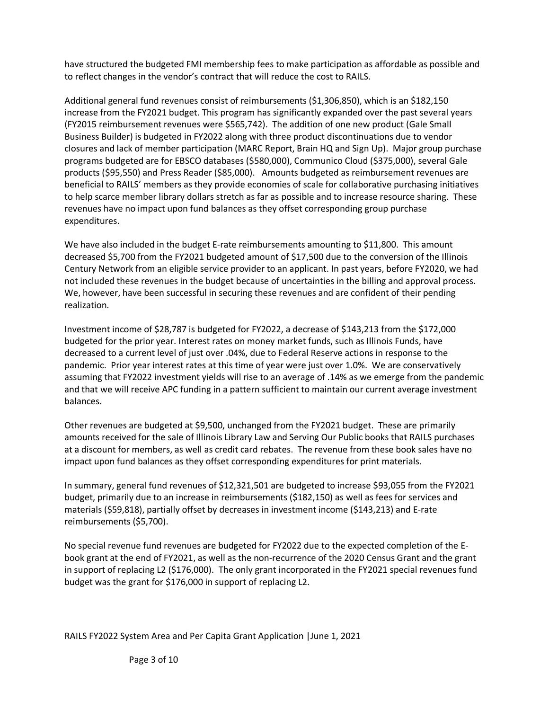have structured the budgeted FMI membership fees to make participation as affordable as possible and to reflect changes in the vendor's contract that will reduce the cost to RAILS.

Additional general fund revenues consist of reimbursements (\$1,306,850), which is an \$182,150 increase from the FY2021 budget. This program has significantly expanded over the past several years (FY2015 reimbursement revenues were \$565,742). The addition of one new product (Gale Small Business Builder) is budgeted in FY2022 along with three product discontinuations due to vendor closures and lack of member participation (MARC Report, Brain HQ and Sign Up). Major group purchase programs budgeted are for EBSCO databases (\$580,000), Communico Cloud (\$375,000), several Gale products (\$95,550) and Press Reader (\$85,000). Amounts budgeted as reimbursement revenues are beneficial to RAILS' members as they provide economies of scale for collaborative purchasing initiatives to help scarce member library dollars stretch as far as possible and to increase resource sharing. These revenues have no impact upon fund balances as they offset corresponding group purchase expenditures.

We have also included in the budget E-rate reimbursements amounting to \$11,800. This amount decreased \$5,700 from the FY2021 budgeted amount of \$17,500 due to the conversion of the Illinois Century Network from an eligible service provider to an applicant. In past years, before FY2020, we had not included these revenues in the budget because of uncertainties in the billing and approval process. We, however, have been successful in securing these revenues and are confident of their pending realization.

Investment income of \$28,787 is budgeted for FY2022, a decrease of \$143,213 from the \$172,000 budgeted for the prior year. Interest rates on money market funds, such as Illinois Funds, have decreased to a current level of just over .04%, due to Federal Reserve actions in response to the pandemic. Prior year interest rates at this time of year were just over 1.0%. We are conservatively assuming that FY2022 investment yields will rise to an average of .14% as we emerge from the pandemic and that we will receive APC funding in a pattern sufficient to maintain our current average investment balances.

Other revenues are budgeted at \$9,500, unchanged from the FY2021 budget. These are primarily amounts received for the sale of Illinois Library Law and Serving Our Public books that RAILS purchases at a discount for members, as well as credit card rebates. The revenue from these book sales have no impact upon fund balances as they offset corresponding expenditures for print materials.

In summary, general fund revenues of \$12,321,501 are budgeted to increase \$93,055 from the FY2021 budget, primarily due to an increase in reimbursements (\$182,150) as well as fees for services and materials (\$59,818), partially offset by decreases in investment income (\$143,213) and E-rate reimbursements (\$5,700).

No special revenue fund revenues are budgeted for FY2022 due to the expected completion of the Ebook grant at the end of FY2021, as well as the non-recurrence of the 2020 Census Grant and the grant in support of replacing L2 (\$176,000). The only grant incorporated in the FY2021 special revenues fund budget was the grant for \$176,000 in support of replacing L2.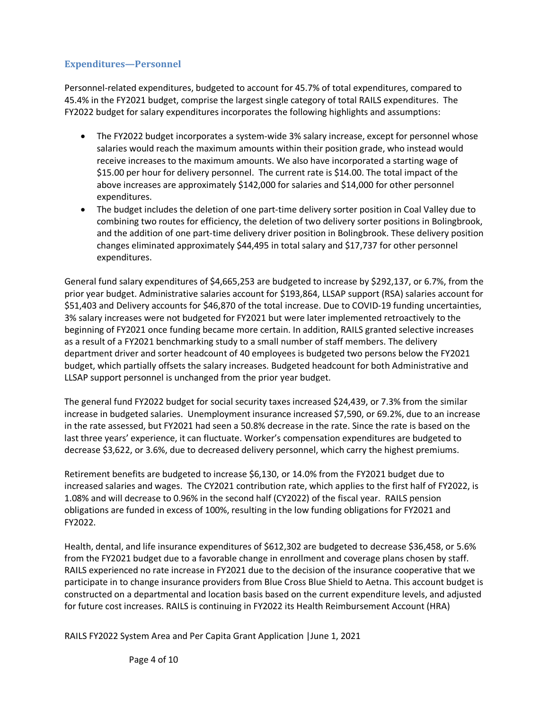### **Expenditures—Personnel**

Personnel-related expenditures, budgeted to account for 45.7% of total expenditures, compared to 45.4% in the FY2021 budget, comprise the largest single category of total RAILS expenditures. The FY2022 budget for salary expenditures incorporates the following highlights and assumptions:

- The FY2022 budget incorporates a system-wide 3% salary increase, except for personnel whose salaries would reach the maximum amounts within their position grade, who instead would receive increases to the maximum amounts. We also have incorporated a starting wage of \$15.00 per hour for delivery personnel. The current rate is \$14.00. The total impact of the above increases are approximately \$142,000 for salaries and \$14,000 for other personnel expenditures.
- The budget includes the deletion of one part-time delivery sorter position in Coal Valley due to combining two routes for efficiency, the deletion of two delivery sorter positions in Bolingbrook, and the addition of one part-time delivery driver position in Bolingbrook. These delivery position changes eliminated approximately \$44,495 in total salary and \$17,737 for other personnel expenditures.

General fund salary expenditures of \$4,665,253 are budgeted to increase by \$292,137, or 6.7%, from the prior year budget. Administrative salaries account for \$193,864, LLSAP support (RSA) salaries account for \$51,403 and Delivery accounts for \$46,870 of the total increase. Due to COVID-19 funding uncertainties, 3% salary increases were not budgeted for FY2021 but were later implemented retroactively to the beginning of FY2021 once funding became more certain. In addition, RAILS granted selective increases as a result of a FY2021 benchmarking study to a small number of staff members. The delivery department driver and sorter headcount of 40 employees is budgeted two persons below the FY2021 budget, which partially offsets the salary increases. Budgeted headcount for both Administrative and LLSAP support personnel is unchanged from the prior year budget.

The general fund FY2022 budget for social security taxes increased \$24,439, or 7.3% from the similar increase in budgeted salaries. Unemployment insurance increased \$7,590, or 69.2%, due to an increase in the rate assessed, but FY2021 had seen a 50.8% decrease in the rate. Since the rate is based on the last three years' experience, it can fluctuate. Worker's compensation expenditures are budgeted to decrease \$3,622, or 3.6%, due to decreased delivery personnel, which carry the highest premiums.

Retirement benefits are budgeted to increase \$6,130, or 14.0% from the FY2021 budget due to increased salaries and wages. The CY2021 contribution rate, which applies to the first half of FY2022, is 1.08% and will decrease to 0.96% in the second half (CY2022) of the fiscal year. RAILS pension obligations are funded in excess of 100%, resulting in the low funding obligations for FY2021 and FY2022.

Health, dental, and life insurance expenditures of \$612,302 are budgeted to decrease \$36,458, or 5.6% from the FY2021 budget due to a favorable change in enrollment and coverage plans chosen by staff. RAILS experienced no rate increase in FY2021 due to the decision of the insurance cooperative that we participate in to change insurance providers from Blue Cross Blue Shield to Aetna. This account budget is constructed on a departmental and location basis based on the current expenditure levels, and adjusted for future cost increases. RAILS is continuing in FY2022 its Health Reimbursement Account (HRA)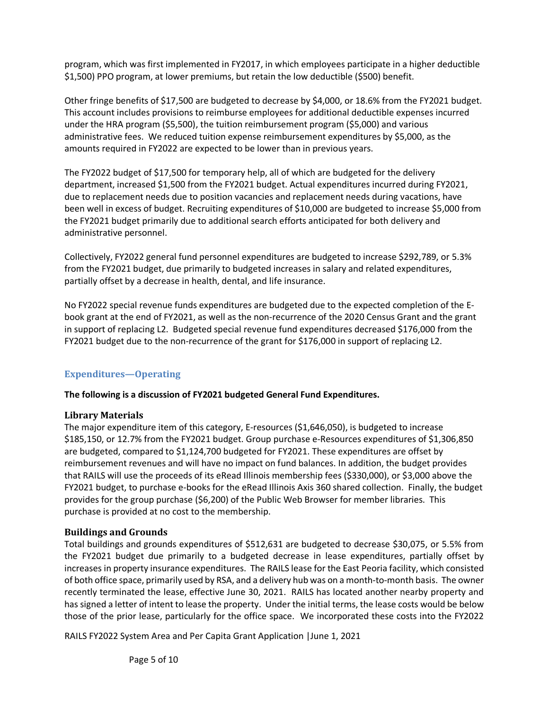program, which was first implemented in FY2017, in which employees participate in a higher deductible \$1,500) PPO program, at lower premiums, but retain the low deductible (\$500) benefit.

Other fringe benefits of \$17,500 are budgeted to decrease by \$4,000, or 18.6% from the FY2021 budget. This account includes provisions to reimburse employees for additional deductible expenses incurred under the HRA program (\$5,500), the tuition reimbursement program (\$5,000) and various administrative fees. We reduced tuition expense reimbursement expenditures by \$5,000, as the amounts required in FY2022 are expected to be lower than in previous years.

The FY2022 budget of \$17,500 for temporary help, all of which are budgeted for the delivery department, increased \$1,500 from the FY2021 budget. Actual expenditures incurred during FY2021, due to replacement needs due to position vacancies and replacement needs during vacations, have been well in excess of budget. Recruiting expenditures of \$10,000 are budgeted to increase \$5,000 from the FY2021 budget primarily due to additional search efforts anticipated for both delivery and administrative personnel.

Collectively, FY2022 general fund personnel expenditures are budgeted to increase \$292,789, or 5.3% from the FY2021 budget, due primarily to budgeted increases in salary and related expenditures, partially offset by a decrease in health, dental, and life insurance.

No FY2022 special revenue funds expenditures are budgeted due to the expected completion of the Ebook grant at the end of FY2021, as well as the non-recurrence of the 2020 Census Grant and the grant in support of replacing L2. Budgeted special revenue fund expenditures decreased \$176,000 from the FY2021 budget due to the non-recurrence of the grant for \$176,000 in support of replacing L2.

### **Expenditures—Operating**

### **The following is a discussion of FY2021 budgeted General Fund Expenditures.**

### **Library Materials**

The major expenditure item of this category, E-resources (\$1,646,050), is budgeted to increase \$185,150, or 12.7% from the FY2021 budget. Group purchase e-Resources expenditures of \$1,306,850 are budgeted, compared to \$1,124,700 budgeted for FY2021. These expenditures are offset by reimbursement revenues and will have no impact on fund balances. In addition, the budget provides that RAILS will use the proceeds of its eRead Illinois membership fees (\$330,000), or \$3,000 above the FY2021 budget, to purchase e-books for the eRead Illinois Axis 360 shared collection. Finally, the budget provides for the group purchase (\$6,200) of the Public Web Browser for member libraries. This purchase is provided at no cost to the membership.

### **Buildings and Grounds**

Total buildings and grounds expenditures of \$512,631 are budgeted to decrease \$30,075, or 5.5% from the FY2021 budget due primarily to a budgeted decrease in lease expenditures, partially offset by increases in property insurance expenditures. The RAILS lease for the East Peoria facility, which consisted of both office space, primarily used by RSA, and a delivery hub was on a month-to-month basis. The owner recently terminated the lease, effective June 30, 2021. RAILS has located another nearby property and has signed a letter of intent to lease the property. Under the initial terms, the lease costs would be below those of the prior lease, particularly for the office space. We incorporated these costs into the FY2022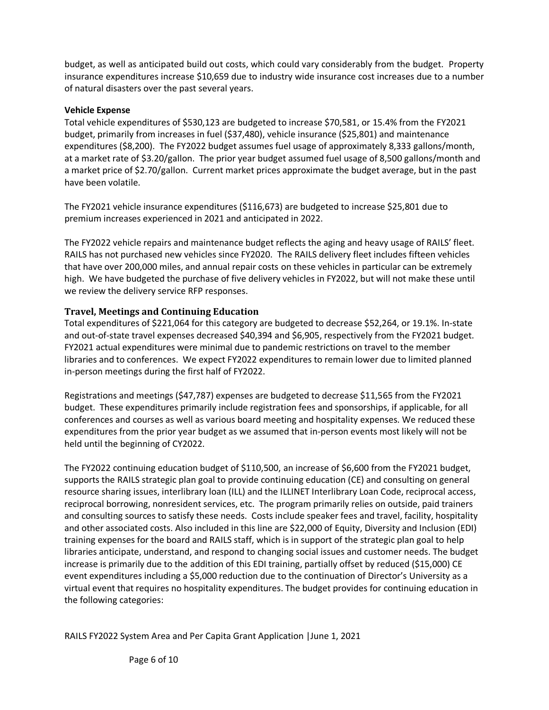budget, as well as anticipated build out costs, which could vary considerably from the budget. Property insurance expenditures increase \$10,659 due to industry wide insurance cost increases due to a number of natural disasters over the past several years.

#### **Vehicle Expense**

Total vehicle expenditures of \$530,123 are budgeted to increase \$70,581, or 15.4% from the FY2021 budget, primarily from increases in fuel (\$37,480), vehicle insurance (\$25,801) and maintenance expenditures (\$8,200). The FY2022 budget assumes fuel usage of approximately 8,333 gallons/month, at a market rate of \$3.20/gallon. The prior year budget assumed fuel usage of 8,500 gallons/month and a market price of \$2.70/gallon. Current market prices approximate the budget average, but in the past have been volatile.

The FY2021 vehicle insurance expenditures (\$116,673) are budgeted to increase \$25,801 due to premium increases experienced in 2021 and anticipated in 2022.

The FY2022 vehicle repairs and maintenance budget reflects the aging and heavy usage of RAILS' fleet. RAILS has not purchased new vehicles since FY2020. The RAILS delivery fleet includes fifteen vehicles that have over 200,000 miles, and annual repair costs on these vehicles in particular can be extremely high. We have budgeted the purchase of five delivery vehicles in FY2022, but will not make these until we review the delivery service RFP responses.

### **Travel, Meetings and Continuing Education**

Total expenditures of \$221,064 for this category are budgeted to decrease \$52,264, or 19.1%. In-state and out-of-state travel expenses decreased \$40,394 and \$6,905, respectively from the FY2021 budget. FY2021 actual expenditures were minimal due to pandemic restrictions on travel to the member libraries and to conferences. We expect FY2022 expenditures to remain lower due to limited planned in-person meetings during the first half of FY2022.

Registrations and meetings (\$47,787) expenses are budgeted to decrease \$11,565 from the FY2021 budget. These expenditures primarily include registration fees and sponsorships, if applicable, for all conferences and courses as well as various board meeting and hospitality expenses. We reduced these expenditures from the prior year budget as we assumed that in-person events most likely will not be held until the beginning of CY2022.

The FY2022 continuing education budget of \$110,500, an increase of \$6,600 from the FY2021 budget, supports the RAILS strategic plan goal to provide continuing education (CE) and consulting on general resource sharing issues, interlibrary loan (ILL) and the ILLINET Interlibrary Loan Code, reciprocal access, reciprocal borrowing, nonresident services, etc. The program primarily relies on outside, paid trainers and consulting sources to satisfy these needs. Costs include speaker fees and travel, facility, hospitality and other associated costs. Also included in this line are \$22,000 of Equity, Diversity and Inclusion (EDI) training expenses for the board and RAILS staff, which is in support of the strategic plan goal to help libraries anticipate, understand, and respond to changing social issues and customer needs. The budget increase is primarily due to the addition of this EDI training, partially offset by reduced (\$15,000) CE event expenditures including a \$5,000 reduction due to the continuation of Director's University as a virtual event that requires no hospitality expenditures. The budget provides for continuing education in the following categories: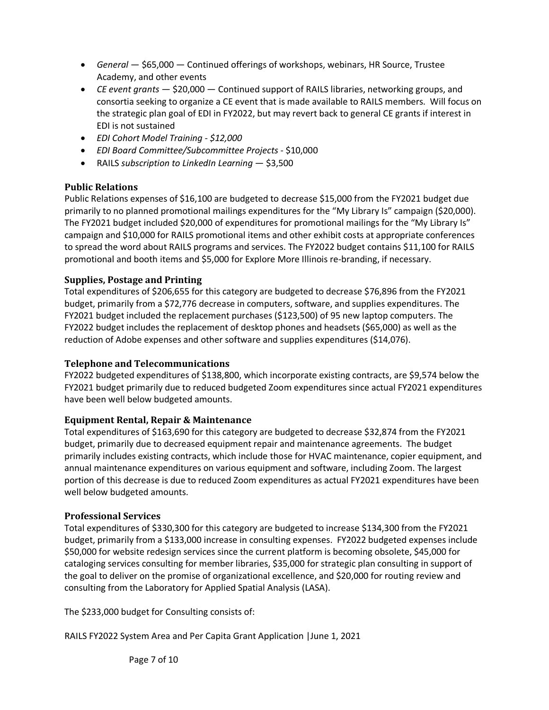- *General* \$65,000 Continued offerings of workshops, webinars, HR Source, Trustee Academy, and other events
- *CE event grants* \$20,000 Continued support of RAILS libraries, networking groups, and consortia seeking to organize a CE event that is made available to RAILS members. Will focus on the strategic plan goal of EDI in FY2022, but may revert back to general CE grants if interest in EDI is not sustained
- *EDI Cohort Model Training - \$12,000*
- *EDI Board Committee/Subcommittee Projects*  \$10,000
- RAILS *subscription to LinkedIn Learning* \$3,500

### **Public Relations**

Public Relations expenses of \$16,100 are budgeted to decrease \$15,000 from the FY2021 budget due primarily to no planned promotional mailings expenditures for the "My Library Is" campaign (\$20,000). The FY2021 budget included \$20,000 of expenditures for promotional mailings for the "My Library Is" campaign and \$10,000 for RAILS promotional items and other exhibit costs at appropriate conferences to spread the word about RAILS programs and services. The FY2022 budget contains \$11,100 for RAILS promotional and booth items and \$5,000 for Explore More Illinois re-branding, if necessary.

### **Supplies, Postage and Printing**

Total expenditures of \$206,655 for this category are budgeted to decrease \$76,896 from the FY2021 budget, primarily from a \$72,776 decrease in computers, software, and supplies expenditures. The FY2021 budget included the replacement purchases (\$123,500) of 95 new laptop computers. The FY2022 budget includes the replacement of desktop phones and headsets (\$65,000) as well as the reduction of Adobe expenses and other software and supplies expenditures (\$14,076).

### **Telephone and Telecommunications**

FY2022 budgeted expenditures of \$138,800, which incorporate existing contracts, are \$9,574 below the FY2021 budget primarily due to reduced budgeted Zoom expenditures since actual FY2021 expenditures have been well below budgeted amounts.

### **Equipment Rental, Repair & Maintenance**

Total expenditures of \$163,690 for this category are budgeted to decrease \$32,874 from the FY2021 budget, primarily due to decreased equipment repair and maintenance agreements. The budget primarily includes existing contracts, which include those for HVAC maintenance, copier equipment, and annual maintenance expenditures on various equipment and software, including Zoom. The largest portion of this decrease is due to reduced Zoom expenditures as actual FY2021 expenditures have been well below budgeted amounts.

### **Professional Services**

Total expenditures of \$330,300 for this category are budgeted to increase \$134,300 from the FY2021 budget, primarily from a \$133,000 increase in consulting expenses. FY2022 budgeted expenses include \$50,000 for website redesign services since the current platform is becoming obsolete, \$45,000 for cataloging services consulting for member libraries, \$35,000 for strategic plan consulting in support of the goal to deliver on the promise of organizational excellence, and \$20,000 for routing review and consulting from the Laboratory for Applied Spatial Analysis (LASA).

The \$233,000 budget for Consulting consists of:

RAILS FY2022 System Area and Per Capita Grant Application |June 1, 2021

Page 7 of 10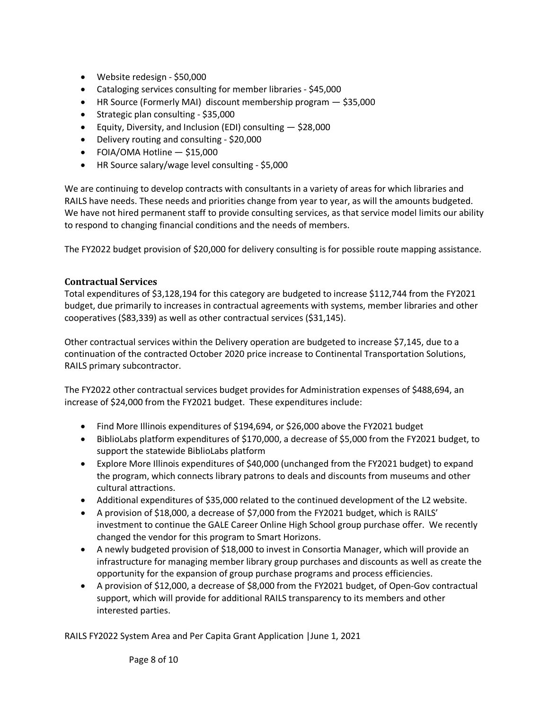- Website redesign \$50,000
- Cataloging services consulting for member libraries \$45,000
- HR Source (Formerly MAI) discount membership program \$35,000
- Strategic plan consulting \$35,000
- Equity, Diversity, and Inclusion (EDI) consulting \$28,000
- Delivery routing and consulting \$20,000
- FOIA/OMA Hotline \$15,000
- HR Source salary/wage level consulting \$5,000

We are continuing to develop contracts with consultants in a variety of areas for which libraries and RAILS have needs. These needs and priorities change from year to year, as will the amounts budgeted. We have not hired permanent staff to provide consulting services, as that service model limits our ability to respond to changing financial conditions and the needs of members.

The FY2022 budget provision of \$20,000 for delivery consulting is for possible route mapping assistance.

#### **Contractual Services**

Total expenditures of \$3,128,194 for this category are budgeted to increase \$112,744 from the FY2021 budget, due primarily to increases in contractual agreements with systems, member libraries and other cooperatives (\$83,339) as well as other contractual services (\$31,145).

Other contractual services within the Delivery operation are budgeted to increase \$7,145, due to a continuation of the contracted October 2020 price increase to Continental Transportation Solutions, RAILS primary subcontractor.

The FY2022 other contractual services budget provides for Administration expenses of \$488,694, an increase of \$24,000 from the FY2021 budget. These expenditures include:

- Find More Illinois expenditures of \$194,694, or \$26,000 above the FY2021 budget
- BiblioLabs platform expenditures of \$170,000, a decrease of \$5,000 from the FY2021 budget, to support the statewide BiblioLabs platform
- Explore More Illinois expenditures of \$40,000 (unchanged from the FY2021 budget) to expand the program, which connects library patrons to deals and discounts from museums and other cultural attractions.
- Additional expenditures of \$35,000 related to the continued development of the L2 website.
- A provision of \$18,000, a decrease of \$7,000 from the FY2021 budget, which is RAILS' investment to continue the GALE Career Online High School group purchase offer. We recently changed the vendor for this program to Smart Horizons.
- A newly budgeted provision of \$18,000 to invest in Consortia Manager, which will provide an infrastructure for managing member library group purchases and discounts as well as create the opportunity for the expansion of group purchase programs and process efficiencies.
- A provision of \$12,000, a decrease of \$8,000 from the FY2021 budget, of Open-Gov contractual support, which will provide for additional RAILS transparency to its members and other interested parties.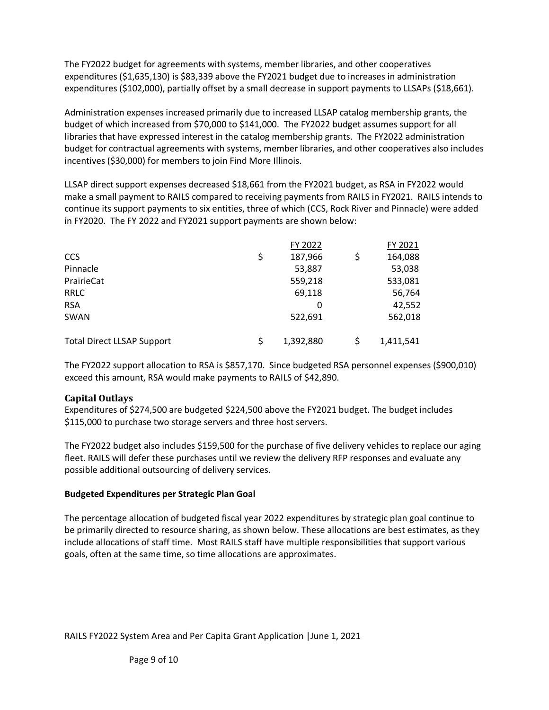The FY2022 budget for agreements with systems, member libraries, and other cooperatives expenditures (\$1,635,130) is \$83,339 above the FY2021 budget due to increases in administration expenditures (\$102,000), partially offset by a small decrease in support payments to LLSAPs (\$18,661).

Administration expenses increased primarily due to increased LLSAP catalog membership grants, the budget of which increased from \$70,000 to \$141,000. The FY2022 budget assumes support for all libraries that have expressed interest in the catalog membership grants. The FY2022 administration budget for contractual agreements with systems, member libraries, and other cooperatives also includes incentives (\$30,000) for members to join Find More Illinois.

LLSAP direct support expenses decreased \$18,661 from the FY2021 budget, as RSA in FY2022 would make a small payment to RAILS compared to receiving payments from RAILS in FY2021. RAILS intends to continue its support payments to six entities, three of which (CCS, Rock River and Pinnacle) were added in FY2020. The FY 2022 and FY2021 support payments are shown below:

|                                   |    | FY 2022   |    | FY 2021   |
|-----------------------------------|----|-----------|----|-----------|
| <b>CCS</b>                        | \$ | 187,966   | \$ | 164,088   |
| Pinnacle                          |    | 53,887    |    | 53,038    |
| PrairieCat                        |    | 559,218   |    | 533,081   |
| <b>RRLC</b>                       |    | 69,118    |    | 56,764    |
| <b>RSA</b>                        |    | 0         |    | 42,552    |
| SWAN                              |    | 522,691   |    | 562,018   |
| <b>Total Direct LLSAP Support</b> | Ś  | 1,392,880 | Ś  | 1,411,541 |

The FY2022 support allocation to RSA is \$857,170. Since budgeted RSA personnel expenses (\$900,010) exceed this amount, RSA would make payments to RAILS of \$42,890.

### **Capital Outlays**

Expenditures of \$274,500 are budgeted \$224,500 above the FY2021 budget. The budget includes \$115,000 to purchase two storage servers and three host servers.

The FY2022 budget also includes \$159,500 for the purchase of five delivery vehicles to replace our aging fleet. RAILS will defer these purchases until we review the delivery RFP responses and evaluate any possible additional outsourcing of delivery services.

#### **Budgeted Expenditures per Strategic Plan Goal**

The percentage allocation of budgeted fiscal year 2022 expenditures by strategic plan goal continue to be primarily directed to resource sharing, as shown below. These allocations are best estimates, as they include allocations of staff time. Most RAILS staff have multiple responsibilities that support various goals, often at the same time, so time allocations are approximates.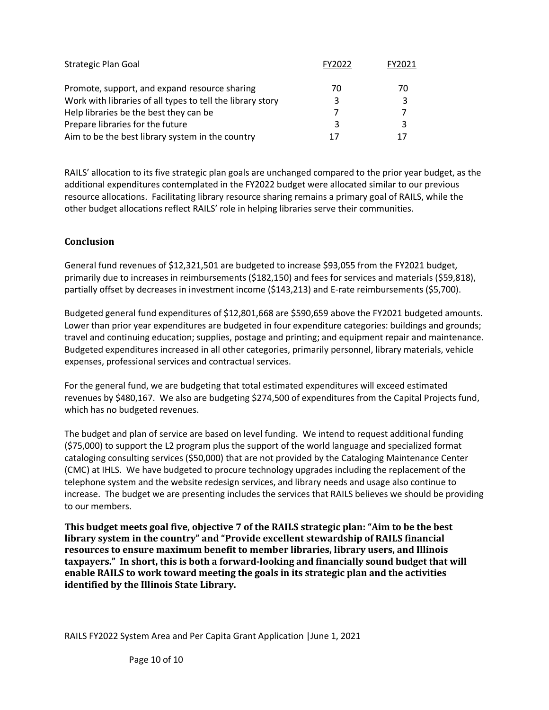| <b>Strategic Plan Goal</b>                                 | FY2022 | FY2021 |
|------------------------------------------------------------|--------|--------|
| Promote, support, and expand resource sharing              | 70     | 70     |
| Work with libraries of all types to tell the library story |        | 3      |
| Help libraries be the best they can be                     |        |        |
| Prepare libraries for the future                           | ર      |        |
| Aim to be the best library system in the country           | 17     |        |

RAILS' allocation to its five strategic plan goals are unchanged compared to the prior year budget, as the additional expenditures contemplated in the FY2022 budget were allocated similar to our previous resource allocations. Facilitating library resource sharing remains a primary goal of RAILS, while the other budget allocations reflect RAILS' role in helping libraries serve their communities.

### **Conclusion**

General fund revenues of \$12,321,501 are budgeted to increase \$93,055 from the FY2021 budget, primarily due to increases in reimbursements (\$182,150) and fees for services and materials (\$59,818), partially offset by decreases in investment income (\$143,213) and E-rate reimbursements (\$5,700).

Budgeted general fund expenditures of \$12,801,668 are \$590,659 above the FY2021 budgeted amounts. Lower than prior year expenditures are budgeted in four expenditure categories: buildings and grounds; travel and continuing education; supplies, postage and printing; and equipment repair and maintenance. Budgeted expenditures increased in all other categories, primarily personnel, library materials, vehicle expenses, professional services and contractual services.

For the general fund, we are budgeting that total estimated expenditures will exceed estimated revenues by \$480,167. We also are budgeting \$274,500 of expenditures from the Capital Projects fund, which has no budgeted revenues.

The budget and plan of service are based on level funding. We intend to request additional funding (\$75,000) to support the L2 program plus the support of the world language and specialized format cataloging consulting services (\$50,000) that are not provided by the Cataloging Maintenance Center (CMC) at IHLS. We have budgeted to procure technology upgrades including the replacement of the telephone system and the website redesign services, and library needs and usage also continue to increase. The budget we are presenting includes the services that RAILS believes we should be providing to our members.

**This budget meets goal five, objective 7 of the RAILS strategic plan: "Aim to be the best library system in the country" and "Provide excellent stewardship of RAILS financial resources to ensure maximum benefit to member libraries, library users, and Illinois taxpayers." In short, this is both a forward-looking and financially sound budget that will enable RAILS to work toward meeting the goals in its strategic plan and the activities identified by the Illinois State Library.**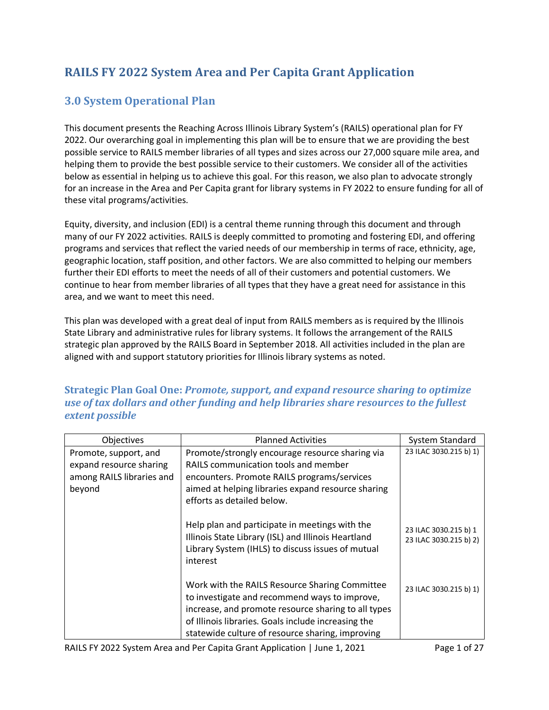# **RAILS FY 2022 System Area and Per Capita Grant Application**

## **3.0 System Operational Plan**

This document presents the Reaching Across Illinois Library System's (RAILS) operational plan for FY 2022. Our overarching goal in implementing this plan will be to ensure that we are providing the best possible service to RAILS member libraries of all types and sizes across our 27,000 square mile area, and helping them to provide the best possible service to their customers. We consider all of the activities below as essential in helping us to achieve this goal. For this reason, we also plan to advocate strongly for an increase in the Area and Per Capita grant for library systems in FY 2022 to ensure funding for all of these vital programs/activities.

Equity, diversity, and inclusion (EDI) is a central theme running through this document and through many of our FY 2022 activities. RAILS is deeply committed to promoting and fostering EDI, and offering programs and services that reflect the varied needs of our membership in terms of race, ethnicity, age, geographic location, staff position, and other factors. We are also committed to helping our members further their EDI efforts to meet the needs of all of their customers and potential customers. We continue to hear from member libraries of all types that they have a great need for assistance in this area, and we want to meet this need.

This plan was developed with a great deal of input from RAILS members as is required by the Illinois State Library and administrative rules for library systems. It follows the arrangement of the RAILS strategic plan approved by the RAILS Board in September 2018. All activities included in the plan are aligned with and support statutory priorities for Illinois library systems as noted.

### **Strategic Plan Goal One:** *Promote, support, and expand resource sharing to optimize use of tax dollars and other funding and help libraries share resources to the fullest extent possible*

| System Standard                                 |
|-------------------------------------------------|
| 23 ILAC 3030.215 b) 1)                          |
|                                                 |
|                                                 |
| 23 ILAC 3030.215 b) 1<br>23 ILAC 3030.215 b) 2) |
| 23 ILAC 3030.215 b) 1)                          |
|                                                 |
|                                                 |

RAILS FY 2022 System Area and Per Capita Grant Application | June 1, 2021 Page 1 of 27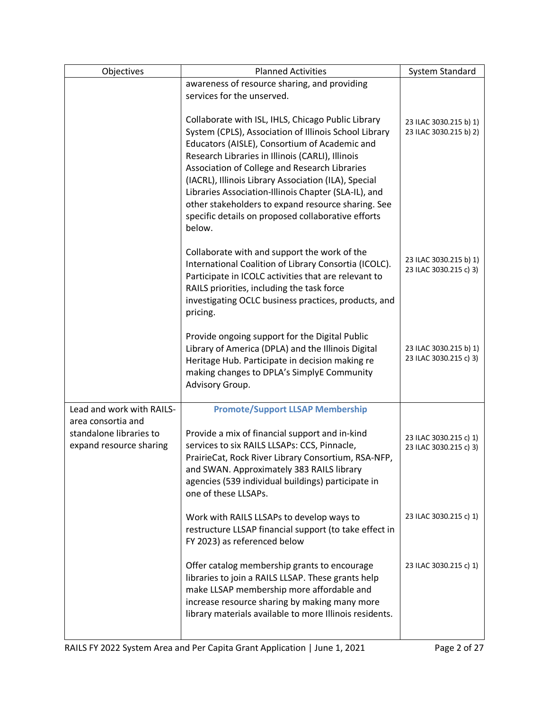| Objectives                                         | <b>Planned Activities</b>                                                                                                                                                                                                                                                                                                                                                                                                                                                                               | <b>System Standard</b>                           |
|----------------------------------------------------|---------------------------------------------------------------------------------------------------------------------------------------------------------------------------------------------------------------------------------------------------------------------------------------------------------------------------------------------------------------------------------------------------------------------------------------------------------------------------------------------------------|--------------------------------------------------|
|                                                    | awareness of resource sharing, and providing                                                                                                                                                                                                                                                                                                                                                                                                                                                            |                                                  |
|                                                    | services for the unserved.                                                                                                                                                                                                                                                                                                                                                                                                                                                                              |                                                  |
|                                                    | Collaborate with ISL, IHLS, Chicago Public Library<br>System (CPLS), Association of Illinois School Library<br>Educators (AISLE), Consortium of Academic and<br>Research Libraries in Illinois (CARLI), Illinois<br>Association of College and Research Libraries<br>(IACRL), Illinois Library Association (ILA), Special<br>Libraries Association-Illinois Chapter (SLA-IL), and<br>other stakeholders to expand resource sharing. See<br>specific details on proposed collaborative efforts<br>below. | 23 ILAC 3030.215 b) 1)<br>23 ILAC 3030.215 b) 2) |
|                                                    | Collaborate with and support the work of the<br>International Coalition of Library Consortia (ICOLC).<br>Participate in ICOLC activities that are relevant to<br>RAILS priorities, including the task force<br>investigating OCLC business practices, products, and<br>pricing.                                                                                                                                                                                                                         | 23 ILAC 3030.215 b) 1)<br>23 ILAC 3030.215 c) 3) |
|                                                    | Provide ongoing support for the Digital Public<br>Library of America (DPLA) and the Illinois Digital<br>Heritage Hub. Participate in decision making re<br>making changes to DPLA's SimplyE Community<br>Advisory Group.                                                                                                                                                                                                                                                                                | 23 ILAC 3030.215 b) 1)<br>23 ILAC 3030.215 c) 3) |
| Lead and work with RAILS-                          | <b>Promote/Support LLSAP Membership</b>                                                                                                                                                                                                                                                                                                                                                                                                                                                                 |                                                  |
| area consortia and                                 |                                                                                                                                                                                                                                                                                                                                                                                                                                                                                                         |                                                  |
| standalone libraries to<br>expand resource sharing | Provide a mix of financial support and in-kind<br>services to six RAILS LLSAPs: CCS, Pinnacle,<br>PrairieCat, Rock River Library Consortium, RSA-NFP,<br>and SWAN. Approximately 383 RAILS library<br>agencies (539 individual buildings) participate in<br>one of these LLSAPs.                                                                                                                                                                                                                        | 23 ILAC 3030.215 c) 1)<br>23 ILAC 3030.215 c) 3) |
|                                                    | Work with RAILS LLSAPs to develop ways to<br>restructure LLSAP financial support (to take effect in<br>FY 2023) as referenced below                                                                                                                                                                                                                                                                                                                                                                     | 23 ILAC 3030.215 c) 1)                           |
|                                                    | Offer catalog membership grants to encourage<br>libraries to join a RAILS LLSAP. These grants help<br>make LLSAP membership more affordable and<br>increase resource sharing by making many more<br>library materials available to more Illinois residents.                                                                                                                                                                                                                                             | 23 ILAC 3030.215 c) 1)                           |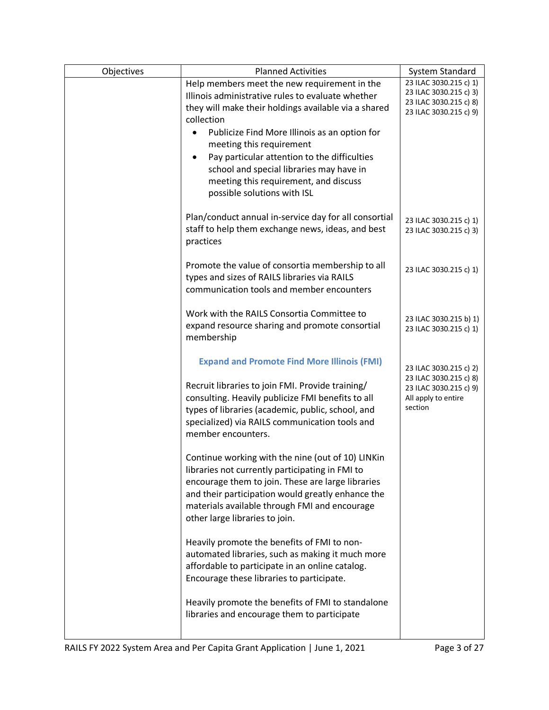| Objectives | <b>Planned Activities</b>                                                                                                                                                                                                                                                                         | System Standard                                                                                      |
|------------|---------------------------------------------------------------------------------------------------------------------------------------------------------------------------------------------------------------------------------------------------------------------------------------------------|------------------------------------------------------------------------------------------------------|
|            | Help members meet the new requirement in the<br>Illinois administrative rules to evaluate whether<br>they will make their holdings available via a shared<br>collection                                                                                                                           | 23 ILAC 3030.215 c) 1)<br>23 ILAC 3030.215 c) 3)<br>23 ILAC 3030.215 c) 8)<br>23 ILAC 3030.215 c) 9) |
|            | Publicize Find More Illinois as an option for                                                                                                                                                                                                                                                     |                                                                                                      |
|            | meeting this requirement                                                                                                                                                                                                                                                                          |                                                                                                      |
|            | Pay particular attention to the difficulties<br>$\bullet$<br>school and special libraries may have in<br>meeting this requirement, and discuss<br>possible solutions with ISL                                                                                                                     |                                                                                                      |
|            | Plan/conduct annual in-service day for all consortial<br>staff to help them exchange news, ideas, and best<br>practices                                                                                                                                                                           | 23 ILAC 3030.215 c) 1)<br>23 ILAC 3030.215 c) 3)                                                     |
|            | Promote the value of consortia membership to all<br>types and sizes of RAILS libraries via RAILS<br>communication tools and member encounters                                                                                                                                                     | 23 ILAC 3030.215 c) 1)                                                                               |
|            | Work with the RAILS Consortia Committee to<br>expand resource sharing and promote consortial<br>membership                                                                                                                                                                                        | 23 ILAC 3030.215 b) 1)<br>23 ILAC 3030.215 c) 1)                                                     |
|            | <b>Expand and Promote Find More Illinois (FMI)</b>                                                                                                                                                                                                                                                | 23 ILAC 3030.215 c) 2)                                                                               |
|            | Recruit libraries to join FMI. Provide training/<br>consulting. Heavily publicize FMI benefits to all<br>types of libraries (academic, public, school, and<br>specialized) via RAILS communication tools and<br>member encounters.                                                                | 23 ILAC 3030.215 c) 8)<br>23 ILAC 3030.215 c) 9)<br>All apply to entire<br>section                   |
|            | Continue working with the nine (out of 10) LINKin<br>libraries not currently participating in FMI to<br>encourage them to join. These are large libraries<br>and their participation would greatly enhance the<br>materials available through FMI and encourage<br>other large libraries to join. |                                                                                                      |
|            | Heavily promote the benefits of FMI to non-<br>automated libraries, such as making it much more<br>affordable to participate in an online catalog.<br>Encourage these libraries to participate.                                                                                                   |                                                                                                      |
|            | Heavily promote the benefits of FMI to standalone<br>libraries and encourage them to participate                                                                                                                                                                                                  |                                                                                                      |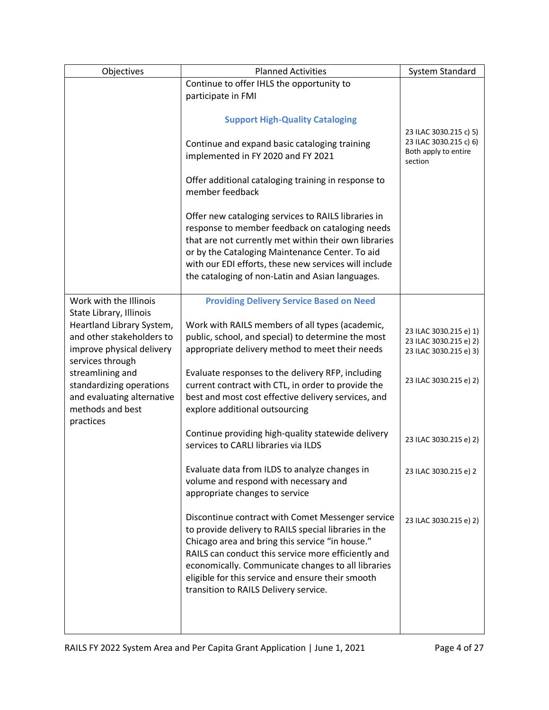| Objectives                                                                                                                         | <b>Planned Activities</b>                                                                                                                                                                                                                                                                                                                                                | System Standard                                                                     |
|------------------------------------------------------------------------------------------------------------------------------------|--------------------------------------------------------------------------------------------------------------------------------------------------------------------------------------------------------------------------------------------------------------------------------------------------------------------------------------------------------------------------|-------------------------------------------------------------------------------------|
|                                                                                                                                    | Continue to offer IHLS the opportunity to                                                                                                                                                                                                                                                                                                                                |                                                                                     |
|                                                                                                                                    | participate in FMI                                                                                                                                                                                                                                                                                                                                                       |                                                                                     |
|                                                                                                                                    | <b>Support High-Quality Cataloging</b>                                                                                                                                                                                                                                                                                                                                   |                                                                                     |
|                                                                                                                                    | Continue and expand basic cataloging training<br>implemented in FY 2020 and FY 2021                                                                                                                                                                                                                                                                                      | 23 ILAC 3030.215 c) 5)<br>23 ILAC 3030.215 c) 6)<br>Both apply to entire<br>section |
|                                                                                                                                    | Offer additional cataloging training in response to<br>member feedback                                                                                                                                                                                                                                                                                                   |                                                                                     |
|                                                                                                                                    | Offer new cataloging services to RAILS libraries in<br>response to member feedback on cataloging needs<br>that are not currently met within their own libraries<br>or by the Cataloging Maintenance Center. To aid<br>with our EDI efforts, these new services will include<br>the cataloging of non-Latin and Asian languages.                                          |                                                                                     |
| Work with the Illinois                                                                                                             | <b>Providing Delivery Service Based on Need</b>                                                                                                                                                                                                                                                                                                                          |                                                                                     |
| State Library, Illinois<br>Heartland Library System,<br>and other stakeholders to<br>improve physical delivery<br>services through | Work with RAILS members of all types (academic,<br>public, school, and special) to determine the most<br>appropriate delivery method to meet their needs                                                                                                                                                                                                                 | 23 ILAC 3030.215 e) 1)<br>23 ILAC 3030.215 e) 2)<br>23 ILAC 3030.215 e) 3)          |
| streamlining and<br>standardizing operations<br>and evaluating alternative<br>methods and best<br>practices                        | Evaluate responses to the delivery RFP, including<br>current contract with CTL, in order to provide the<br>best and most cost effective delivery services, and<br>explore additional outsourcing                                                                                                                                                                         | 23 ILAC 3030.215 e) 2)                                                              |
|                                                                                                                                    | Continue providing high-quality statewide delivery<br>services to CARLI libraries via ILDS                                                                                                                                                                                                                                                                               | 23 ILAC 3030.215 e) 2)                                                              |
|                                                                                                                                    | Evaluate data from ILDS to analyze changes in<br>volume and respond with necessary and<br>appropriate changes to service                                                                                                                                                                                                                                                 | 23 ILAC 3030.215 e) 2                                                               |
|                                                                                                                                    | Discontinue contract with Comet Messenger service<br>to provide delivery to RAILS special libraries in the<br>Chicago area and bring this service "in house."<br>RAILS can conduct this service more efficiently and<br>economically. Communicate changes to all libraries<br>eligible for this service and ensure their smooth<br>transition to RAILS Delivery service. | 23 ILAC 3030.215 e) 2)                                                              |
|                                                                                                                                    |                                                                                                                                                                                                                                                                                                                                                                          |                                                                                     |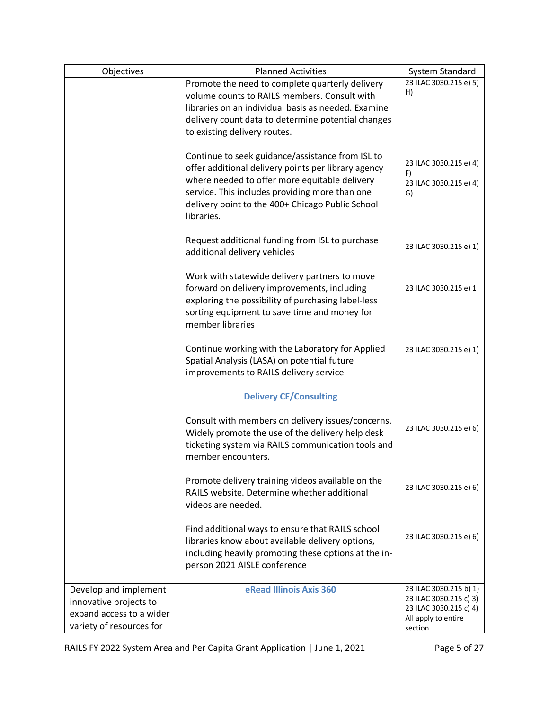| Objectives                                                                                              | <b>Planned Activities</b>                                                                                                                                                                                                                                                    | System Standard                                                                                              |
|---------------------------------------------------------------------------------------------------------|------------------------------------------------------------------------------------------------------------------------------------------------------------------------------------------------------------------------------------------------------------------------------|--------------------------------------------------------------------------------------------------------------|
|                                                                                                         | Promote the need to complete quarterly delivery                                                                                                                                                                                                                              | 23 ILAC 3030.215 e) 5)                                                                                       |
|                                                                                                         | volume counts to RAILS members. Consult with                                                                                                                                                                                                                                 | H)                                                                                                           |
|                                                                                                         | libraries on an individual basis as needed. Examine                                                                                                                                                                                                                          |                                                                                                              |
|                                                                                                         | delivery count data to determine potential changes                                                                                                                                                                                                                           |                                                                                                              |
|                                                                                                         | to existing delivery routes.                                                                                                                                                                                                                                                 |                                                                                                              |
|                                                                                                         | Continue to seek guidance/assistance from ISL to<br>offer additional delivery points per library agency<br>where needed to offer more equitable delivery<br>service. This includes providing more than one<br>delivery point to the 400+ Chicago Public School<br>libraries. | 23 ILAC 3030.215 e) 4)<br>F)<br>23 ILAC 3030.215 e) 4)<br>G)                                                 |
|                                                                                                         | Request additional funding from ISL to purchase<br>additional delivery vehicles                                                                                                                                                                                              | 23 ILAC 3030.215 e) 1)                                                                                       |
|                                                                                                         | Work with statewide delivery partners to move<br>forward on delivery improvements, including<br>exploring the possibility of purchasing label-less<br>sorting equipment to save time and money for<br>member libraries                                                       | 23 ILAC 3030.215 e) 1                                                                                        |
|                                                                                                         | Continue working with the Laboratory for Applied<br>Spatial Analysis (LASA) on potential future<br>improvements to RAILS delivery service                                                                                                                                    | 23 ILAC 3030.215 e) 1)                                                                                       |
|                                                                                                         | <b>Delivery CE/Consulting</b>                                                                                                                                                                                                                                                |                                                                                                              |
|                                                                                                         | Consult with members on delivery issues/concerns.<br>Widely promote the use of the delivery help desk<br>ticketing system via RAILS communication tools and<br>member encounters.                                                                                            | 23 ILAC 3030.215 e) 6)                                                                                       |
|                                                                                                         | Promote delivery training videos available on the<br>RAILS website. Determine whether additional<br>videos are needed.                                                                                                                                                       | 23 ILAC 3030.215 e) 6)                                                                                       |
|                                                                                                         | Find additional ways to ensure that RAILS school<br>libraries know about available delivery options,<br>including heavily promoting these options at the in-<br>person 2021 AISLE conference                                                                                 | 23 ILAC 3030.215 e) 6)                                                                                       |
| Develop and implement<br>innovative projects to<br>expand access to a wider<br>variety of resources for | eRead Illinois Axis 360                                                                                                                                                                                                                                                      | 23 ILAC 3030.215 b) 1)<br>23 ILAC 3030.215 c) 3)<br>23 ILAC 3030.215 c) 4)<br>All apply to entire<br>section |

RAILS FY 2022 System Area and Per Capita Grant Application | June 1, 2021 Page 5 of 27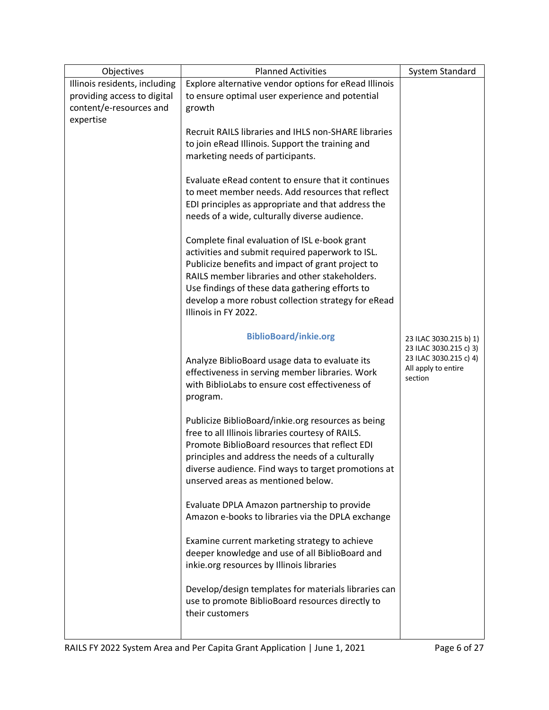| Objectives                    | <b>Planned Activities</b>                                                                           | <b>System Standard</b> |
|-------------------------------|-----------------------------------------------------------------------------------------------------|------------------------|
| Illinois residents, including | Explore alternative vendor options for eRead Illinois                                               |                        |
| providing access to digital   | to ensure optimal user experience and potential                                                     |                        |
| content/e-resources and       | growth                                                                                              |                        |
| expertise                     |                                                                                                     |                        |
|                               | Recruit RAILS libraries and IHLS non-SHARE libraries                                                |                        |
|                               | to join eRead Illinois. Support the training and                                                    |                        |
|                               | marketing needs of participants.                                                                    |                        |
|                               |                                                                                                     |                        |
|                               | Evaluate eRead content to ensure that it continues                                                  |                        |
|                               | to meet member needs. Add resources that reflect                                                    |                        |
|                               | EDI principles as appropriate and that address the                                                  |                        |
|                               | needs of a wide, culturally diverse audience.                                                       |                        |
|                               |                                                                                                     |                        |
|                               | Complete final evaluation of ISL e-book grant                                                       |                        |
|                               | activities and submit required paperwork to ISL.                                                    |                        |
|                               | Publicize benefits and impact of grant project to<br>RAILS member libraries and other stakeholders. |                        |
|                               | Use findings of these data gathering efforts to                                                     |                        |
|                               |                                                                                                     |                        |
|                               | develop a more robust collection strategy for eRead<br>Illinois in FY 2022.                         |                        |
|                               |                                                                                                     |                        |
|                               | <b>BiblioBoard/inkie.org</b>                                                                        | 23 ILAC 3030.215 b) 1) |
|                               |                                                                                                     | 23 ILAC 3030.215 c) 3) |
|                               | Analyze BiblioBoard usage data to evaluate its                                                      | 23 ILAC 3030.215 c) 4) |
|                               | effectiveness in serving member libraries. Work                                                     | All apply to entire    |
|                               | with BiblioLabs to ensure cost effectiveness of                                                     | section                |
|                               | program.                                                                                            |                        |
|                               |                                                                                                     |                        |
|                               | Publicize BiblioBoard/inkie.org resources as being                                                  |                        |
|                               | free to all Illinois libraries courtesy of RAILS.                                                   |                        |
|                               | Promote BiblioBoard resources that reflect EDI                                                      |                        |
|                               | principles and address the needs of a culturally                                                    |                        |
|                               | diverse audience. Find ways to target promotions at                                                 |                        |
|                               | unserved areas as mentioned below.                                                                  |                        |
|                               |                                                                                                     |                        |
|                               | Evaluate DPLA Amazon partnership to provide                                                         |                        |
|                               | Amazon e-books to libraries via the DPLA exchange                                                   |                        |
|                               | Examine current marketing strategy to achieve                                                       |                        |
|                               | deeper knowledge and use of all BiblioBoard and                                                     |                        |
|                               | inkie.org resources by Illinois libraries                                                           |                        |
|                               |                                                                                                     |                        |
|                               | Develop/design templates for materials libraries can                                                |                        |
|                               | use to promote BiblioBoard resources directly to                                                    |                        |
|                               | their customers                                                                                     |                        |
|                               |                                                                                                     |                        |
|                               |                                                                                                     |                        |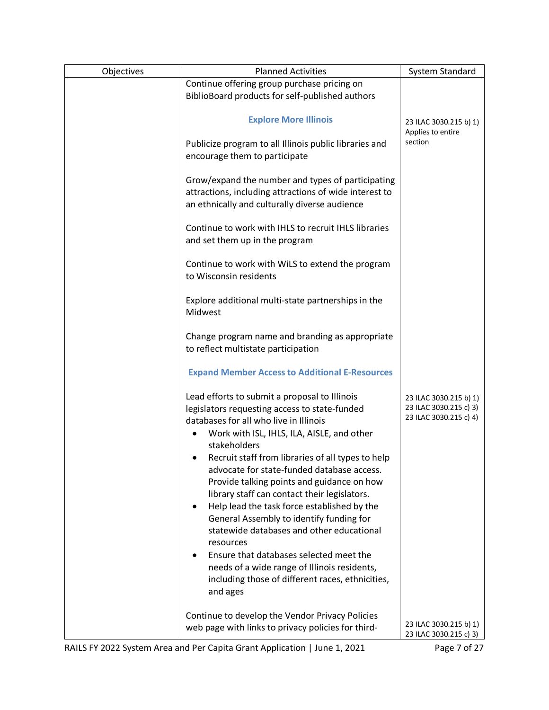| Objectives | <b>Planned Activities</b>                                                                                                                                                                                                                    | System Standard                                                            |
|------------|----------------------------------------------------------------------------------------------------------------------------------------------------------------------------------------------------------------------------------------------|----------------------------------------------------------------------------|
|            | Continue offering group purchase pricing on<br>BiblioBoard products for self-published authors                                                                                                                                               |                                                                            |
|            | <b>Explore More Illinois</b>                                                                                                                                                                                                                 | 23 ILAC 3030.215 b) 1)<br>Applies to entire                                |
|            | Publicize program to all Illinois public libraries and<br>encourage them to participate                                                                                                                                                      | section                                                                    |
|            | Grow/expand the number and types of participating<br>attractions, including attractions of wide interest to<br>an ethnically and culturally diverse audience                                                                                 |                                                                            |
|            | Continue to work with IHLS to recruit IHLS libraries<br>and set them up in the program                                                                                                                                                       |                                                                            |
|            | Continue to work with WiLS to extend the program<br>to Wisconsin residents                                                                                                                                                                   |                                                                            |
|            | Explore additional multi-state partnerships in the<br>Midwest                                                                                                                                                                                |                                                                            |
|            | Change program name and branding as appropriate<br>to reflect multistate participation                                                                                                                                                       |                                                                            |
|            | <b>Expand Member Access to Additional E-Resources</b>                                                                                                                                                                                        |                                                                            |
|            | Lead efforts to submit a proposal to Illinois<br>legislators requesting access to state-funded<br>databases for all who live in Illinois<br>Work with ISL, IHLS, ILA, AISLE, and other<br>٠<br>stakeholders                                  | 23 ILAC 3030.215 b) 1)<br>23 ILAC 3030.215 c) 3)<br>23 ILAC 3030.215 c) 4) |
|            | Recruit staff from libraries of all types to help<br>advocate for state-funded database access.<br>Provide talking points and guidance on how<br>library staff can contact their legislators.<br>Help lead the task force established by the |                                                                            |
|            | General Assembly to identify funding for<br>statewide databases and other educational<br>resources                                                                                                                                           |                                                                            |
|            | Ensure that databases selected meet the<br>needs of a wide range of Illinois residents,<br>including those of different races, ethnicities,<br>and ages                                                                                      |                                                                            |
|            | Continue to develop the Vendor Privacy Policies<br>web page with links to privacy policies for third-                                                                                                                                        | 23 ILAC 3030.215 b) 1)<br>23 ILAC 3030.215 c) 3)                           |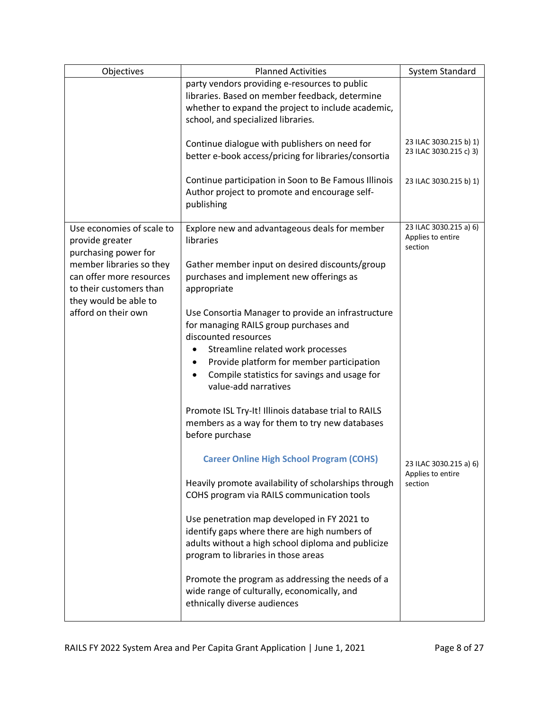| Objectives                                                                                               | <b>Planned Activities</b>                                                                                                                                                                                                                                                                   | <b>System Standard</b>                                 |
|----------------------------------------------------------------------------------------------------------|---------------------------------------------------------------------------------------------------------------------------------------------------------------------------------------------------------------------------------------------------------------------------------------------|--------------------------------------------------------|
|                                                                                                          | party vendors providing e-resources to public<br>libraries. Based on member feedback, determine<br>whether to expand the project to include academic,<br>school, and specialized libraries.                                                                                                 |                                                        |
|                                                                                                          | Continue dialogue with publishers on need for<br>better e-book access/pricing for libraries/consortia                                                                                                                                                                                       | 23 ILAC 3030.215 b) 1)<br>23 ILAC 3030.215 c) 3)       |
|                                                                                                          | Continue participation in Soon to Be Famous Illinois<br>Author project to promote and encourage self-<br>publishing                                                                                                                                                                         | 23 ILAC 3030.215 b) 1)                                 |
| Use economies of scale to<br>provide greater<br>purchasing power for                                     | Explore new and advantageous deals for member<br>libraries                                                                                                                                                                                                                                  | 23 ILAC 3030.215 a) 6)<br>Applies to entire<br>section |
| member libraries so they<br>can offer more resources<br>to their customers than<br>they would be able to | Gather member input on desired discounts/group<br>purchases and implement new offerings as<br>appropriate                                                                                                                                                                                   |                                                        |
| afford on their own                                                                                      | Use Consortia Manager to provide an infrastructure<br>for managing RAILS group purchases and<br>discounted resources<br>Streamline related work processes<br>Provide platform for member participation<br>Compile statistics for savings and usage for<br>$\bullet$<br>value-add narratives |                                                        |
|                                                                                                          | Promote ISL Try-It! Illinois database trial to RAILS<br>members as a way for them to try new databases<br>before purchase                                                                                                                                                                   |                                                        |
|                                                                                                          | <b>Career Online High School Program (COHS)</b>                                                                                                                                                                                                                                             | 23 ILAC 3030.215 a) 6)                                 |
|                                                                                                          | Heavily promote availability of scholarships through<br>COHS program via RAILS communication tools                                                                                                                                                                                          | Applies to entire<br>section                           |
|                                                                                                          | Use penetration map developed in FY 2021 to<br>identify gaps where there are high numbers of<br>adults without a high school diploma and publicize<br>program to libraries in those areas                                                                                                   |                                                        |
|                                                                                                          | Promote the program as addressing the needs of a<br>wide range of culturally, economically, and<br>ethnically diverse audiences                                                                                                                                                             |                                                        |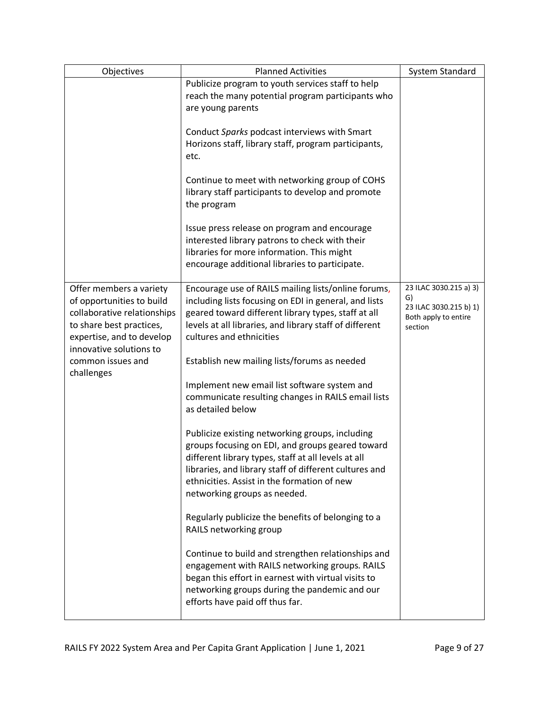| Objectives                                                                                                                                                              | <b>Planned Activities</b>                                                                                                                                                                                                                                                                           | System Standard                                                                           |
|-------------------------------------------------------------------------------------------------------------------------------------------------------------------------|-----------------------------------------------------------------------------------------------------------------------------------------------------------------------------------------------------------------------------------------------------------------------------------------------------|-------------------------------------------------------------------------------------------|
|                                                                                                                                                                         | Publicize program to youth services staff to help<br>reach the many potential program participants who<br>are young parents                                                                                                                                                                         |                                                                                           |
|                                                                                                                                                                         | Conduct Sparks podcast interviews with Smart<br>Horizons staff, library staff, program participants,<br>etc.                                                                                                                                                                                        |                                                                                           |
|                                                                                                                                                                         | Continue to meet with networking group of COHS<br>library staff participants to develop and promote<br>the program                                                                                                                                                                                  |                                                                                           |
|                                                                                                                                                                         | Issue press release on program and encourage<br>interested library patrons to check with their<br>libraries for more information. This might<br>encourage additional libraries to participate.                                                                                                      |                                                                                           |
| Offer members a variety<br>of opportunities to build<br>collaborative relationships<br>to share best practices,<br>expertise, and to develop<br>innovative solutions to | Encourage use of RAILS mailing lists/online forums,<br>including lists focusing on EDI in general, and lists<br>geared toward different library types, staff at all<br>levels at all libraries, and library staff of different<br>cultures and ethnicities                                          | 23 ILAC 3030.215 a) 3)<br>G)<br>23 ILAC 3030.215 b) 1)<br>Both apply to entire<br>section |
| common issues and<br>challenges                                                                                                                                         | Establish new mailing lists/forums as needed                                                                                                                                                                                                                                                        |                                                                                           |
|                                                                                                                                                                         | Implement new email list software system and<br>communicate resulting changes in RAILS email lists<br>as detailed below                                                                                                                                                                             |                                                                                           |
|                                                                                                                                                                         | Publicize existing networking groups, including<br>groups focusing on EDI, and groups geared toward<br>different library types, staff at all levels at all<br>libraries, and library staff of different cultures and<br>ethnicities. Assist in the formation of new<br>networking groups as needed. |                                                                                           |
|                                                                                                                                                                         | Regularly publicize the benefits of belonging to a<br>RAILS networking group                                                                                                                                                                                                                        |                                                                                           |
|                                                                                                                                                                         | Continue to build and strengthen relationships and<br>engagement with RAILS networking groups. RAILS<br>began this effort in earnest with virtual visits to<br>networking groups during the pandemic and our<br>efforts have paid off thus far.                                                     |                                                                                           |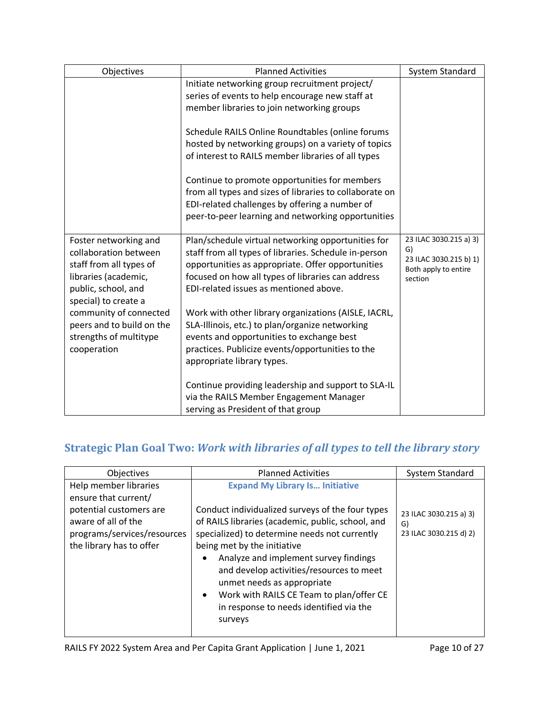| Objectives                                                                                                                                       | <b>Planned Activities</b>                                                                                                                                                                                                                                       | System Standard                                                                           |
|--------------------------------------------------------------------------------------------------------------------------------------------------|-----------------------------------------------------------------------------------------------------------------------------------------------------------------------------------------------------------------------------------------------------------------|-------------------------------------------------------------------------------------------|
|                                                                                                                                                  | Initiate networking group recruitment project/<br>series of events to help encourage new staff at<br>member libraries to join networking groups                                                                                                                 |                                                                                           |
|                                                                                                                                                  | Schedule RAILS Online Roundtables (online forums<br>hosted by networking groups) on a variety of topics<br>of interest to RAILS member libraries of all types                                                                                                   |                                                                                           |
|                                                                                                                                                  | Continue to promote opportunities for members<br>from all types and sizes of libraries to collaborate on<br>EDI-related challenges by offering a number of<br>peer-to-peer learning and networking opportunities                                                |                                                                                           |
| Foster networking and<br>collaboration between<br>staff from all types of<br>libraries (academic,<br>public, school, and<br>special) to create a | Plan/schedule virtual networking opportunities for<br>staff from all types of libraries. Schedule in-person<br>opportunities as appropriate. Offer opportunities<br>focused on how all types of libraries can address<br>EDI-related issues as mentioned above. | 23 ILAC 3030.215 a) 3)<br>G)<br>23 ILAC 3030.215 b) 1)<br>Both apply to entire<br>section |
| community of connected<br>peers and to build on the<br>strengths of multitype<br>cooperation                                                     | Work with other library organizations (AISLE, IACRL,<br>SLA-Illinois, etc.) to plan/organize networking<br>events and opportunities to exchange best<br>practices. Publicize events/opportunities to the<br>appropriate library types.                          |                                                                                           |
|                                                                                                                                                  | Continue providing leadership and support to SLA-IL<br>via the RAILS Member Engagement Manager<br>serving as President of that group                                                                                                                            |                                                                                           |

# **Strategic Plan Goal Two:** *Work with libraries of all types to tell the library story*

| Objectives                                                                                                                                                 | <b>Planned Activities</b>                                                                                                                                                                                                                                                                                                                                                                                                                                         | System Standard                                        |
|------------------------------------------------------------------------------------------------------------------------------------------------------------|-------------------------------------------------------------------------------------------------------------------------------------------------------------------------------------------------------------------------------------------------------------------------------------------------------------------------------------------------------------------------------------------------------------------------------------------------------------------|--------------------------------------------------------|
| Help member libraries<br>ensure that current/<br>potential customers are<br>aware of all of the<br>programs/services/resources<br>the library has to offer | <b>Expand My Library Is Initiative</b><br>Conduct individualized surveys of the four types<br>of RAILS libraries (academic, public, school, and<br>specialized) to determine needs not currently<br>being met by the initiative<br>Analyze and implement survey findings<br>and develop activities/resources to meet<br>unmet needs as appropriate<br>Work with RAILS CE Team to plan/offer CE<br>$\bullet$<br>in response to needs identified via the<br>surveys | 23 ILAC 3030.215 a) 3)<br>G)<br>23 ILAC 3030.215 d) 2) |
|                                                                                                                                                            |                                                                                                                                                                                                                                                                                                                                                                                                                                                                   |                                                        |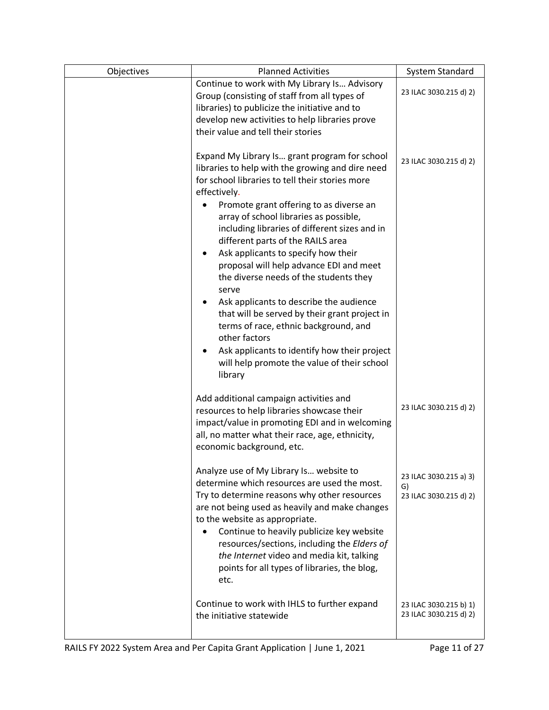| Objectives | <b>Planned Activities</b>                                                                                                                                                                                                                                                                                                                                                                                                                                                                                                                                                                                                                                                                                                                            | System Standard                                        |
|------------|------------------------------------------------------------------------------------------------------------------------------------------------------------------------------------------------------------------------------------------------------------------------------------------------------------------------------------------------------------------------------------------------------------------------------------------------------------------------------------------------------------------------------------------------------------------------------------------------------------------------------------------------------------------------------------------------------------------------------------------------------|--------------------------------------------------------|
|            | Continue to work with My Library Is Advisory<br>Group (consisting of staff from all types of<br>libraries) to publicize the initiative and to<br>develop new activities to help libraries prove<br>their value and tell their stories                                                                                                                                                                                                                                                                                                                                                                                                                                                                                                                | 23 ILAC 3030.215 d) 2)                                 |
|            | Expand My Library Is grant program for school<br>libraries to help with the growing and dire need<br>for school libraries to tell their stories more<br>effectively.<br>Promote grant offering to as diverse an<br>array of school libraries as possible,<br>including libraries of different sizes and in<br>different parts of the RAILS area<br>Ask applicants to specify how their<br>proposal will help advance EDI and meet<br>the diverse needs of the students they<br>serve<br>Ask applicants to describe the audience<br>that will be served by their grant project in<br>terms of race, ethnic background, and<br>other factors<br>Ask applicants to identify how their project<br>will help promote the value of their school<br>library | 23 ILAC 3030.215 d) 2)                                 |
|            | Add additional campaign activities and<br>resources to help libraries showcase their<br>impact/value in promoting EDI and in welcoming<br>all, no matter what their race, age, ethnicity,<br>economic background, etc.                                                                                                                                                                                                                                                                                                                                                                                                                                                                                                                               | 23 ILAC 3030.215 d) 2)                                 |
|            | Analyze use of My Library Is website to<br>determine which resources are used the most.<br>Try to determine reasons why other resources<br>are not being used as heavily and make changes<br>to the website as appropriate.<br>Continue to heavily publicize key website<br>resources/sections, including the Elders of<br>the Internet video and media kit, talking<br>points for all types of libraries, the blog,<br>etc.                                                                                                                                                                                                                                                                                                                         | 23 ILAC 3030.215 a) 3)<br>G)<br>23 ILAC 3030.215 d) 2) |
|            | Continue to work with IHLS to further expand<br>the initiative statewide                                                                                                                                                                                                                                                                                                                                                                                                                                                                                                                                                                                                                                                                             | 23 ILAC 3030.215 b) 1)<br>23 ILAC 3030.215 d) 2)       |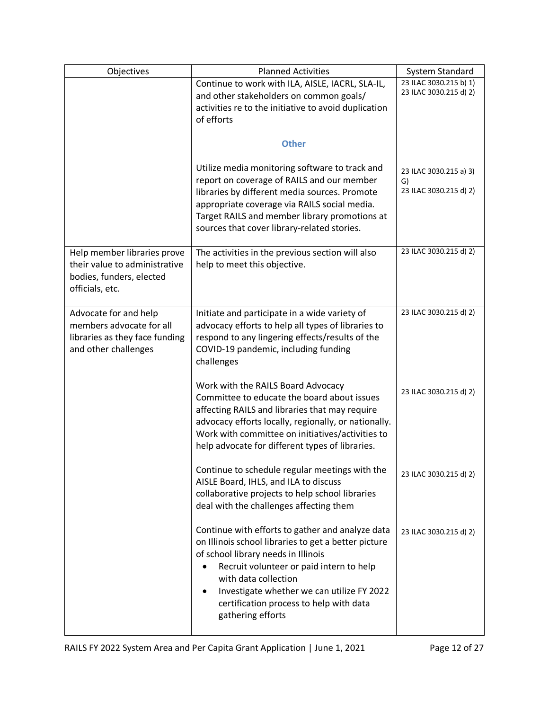| Objectives                                                                                                  | <b>Planned Activities</b>                                                                                                                                                                                                                                                                                                                           | System Standard                                        |
|-------------------------------------------------------------------------------------------------------------|-----------------------------------------------------------------------------------------------------------------------------------------------------------------------------------------------------------------------------------------------------------------------------------------------------------------------------------------------------|--------------------------------------------------------|
|                                                                                                             | Continue to work with ILA, AISLE, IACRL, SLA-IL,<br>and other stakeholders on common goals/<br>activities re to the initiative to avoid duplication<br>of efforts                                                                                                                                                                                   | 23 ILAC 3030.215 b) 1)<br>23 ILAC 3030.215 d) 2)       |
|                                                                                                             | <b>Other</b>                                                                                                                                                                                                                                                                                                                                        |                                                        |
|                                                                                                             | Utilize media monitoring software to track and<br>report on coverage of RAILS and our member<br>libraries by different media sources. Promote<br>appropriate coverage via RAILS social media.<br>Target RAILS and member library promotions at<br>sources that cover library-related stories.                                                       | 23 ILAC 3030.215 a) 3)<br>G)<br>23 ILAC 3030.215 d) 2) |
| Help member libraries prove<br>their value to administrative<br>bodies, funders, elected<br>officials, etc. | The activities in the previous section will also<br>help to meet this objective.                                                                                                                                                                                                                                                                    | 23 ILAC 3030.215 d) 2)                                 |
| Advocate for and help<br>members advocate for all<br>libraries as they face funding<br>and other challenges | Initiate and participate in a wide variety of<br>advocacy efforts to help all types of libraries to<br>respond to any lingering effects/results of the<br>COVID-19 pandemic, including funding<br>challenges                                                                                                                                        | 23 ILAC 3030.215 d) 2)                                 |
|                                                                                                             | Work with the RAILS Board Advocacy<br>Committee to educate the board about issues<br>affecting RAILS and libraries that may require<br>advocacy efforts locally, regionally, or nationally.<br>Work with committee on initiatives/activities to<br>help advocate for different types of libraries.                                                  | 23 ILAC 3030.215 d) 2)                                 |
|                                                                                                             | Continue to schedule regular meetings with the<br>AISLE Board, IHLS, and ILA to discuss<br>collaborative projects to help school libraries<br>deal with the challenges affecting them                                                                                                                                                               | 23 ILAC 3030.215 d) 2)                                 |
|                                                                                                             | Continue with efforts to gather and analyze data<br>on Illinois school libraries to get a better picture<br>of school library needs in Illinois<br>Recruit volunteer or paid intern to help<br>$\bullet$<br>with data collection<br>Investigate whether we can utilize FY 2022<br>٠<br>certification process to help with data<br>gathering efforts | 23 ILAC 3030.215 d) 2)                                 |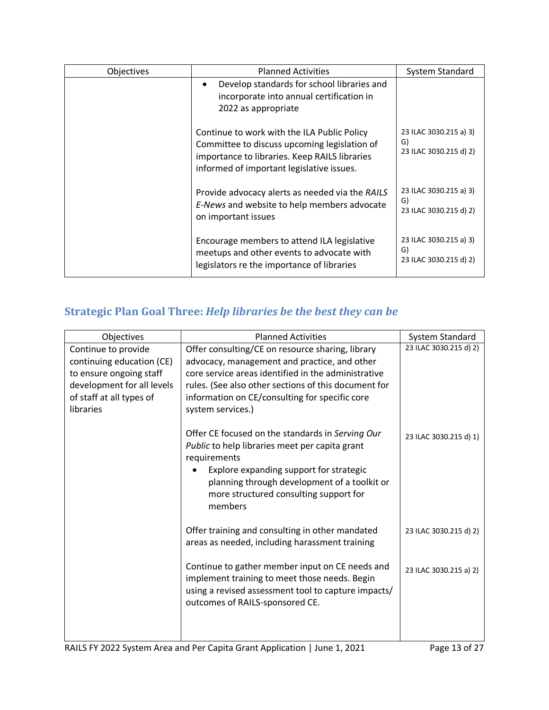| Objectives | <b>Planned Activities</b>                                                                                                                                                                 | System Standard                                        |
|------------|-------------------------------------------------------------------------------------------------------------------------------------------------------------------------------------------|--------------------------------------------------------|
|            | Develop standards for school libraries and<br>incorporate into annual certification in<br>2022 as appropriate                                                                             |                                                        |
|            | Continue to work with the ILA Public Policy<br>Committee to discuss upcoming legislation of<br>importance to libraries. Keep RAILS libraries<br>informed of important legislative issues. | 23 ILAC 3030.215 a) 3)<br>G)<br>23 ILAC 3030.215 d) 2) |
|            | Provide advocacy alerts as needed via the RAILS<br>E-News and website to help members advocate<br>on important issues                                                                     | 23 ILAC 3030.215 a) 3)<br>G)<br>23 ILAC 3030.215 d) 2) |
|            | Encourage members to attend ILA legislative<br>meetups and other events to advocate with<br>legislators re the importance of libraries                                                    | 23 ILAC 3030.215 a) 3)<br>G)<br>23 ILAC 3030.215 d) 2) |

# **Strategic Plan Goal Three:** *Help libraries be the best they can be*

| Objectives                                                                                                                                         | <b>Planned Activities</b>                                                                                                                                                                                                                                                              | System Standard        |
|----------------------------------------------------------------------------------------------------------------------------------------------------|----------------------------------------------------------------------------------------------------------------------------------------------------------------------------------------------------------------------------------------------------------------------------------------|------------------------|
| Continue to provide<br>continuing education (CE)<br>to ensure ongoing staff<br>development for all levels<br>of staff at all types of<br>libraries | Offer consulting/CE on resource sharing, library<br>advocacy, management and practice, and other<br>core service areas identified in the administrative<br>rules. (See also other sections of this document for<br>information on CE/consulting for specific core<br>system services.) | 23 ILAC 3030.215 d) 2) |
|                                                                                                                                                    | Offer CE focused on the standards in Serving Our<br>Public to help libraries meet per capita grant<br>requirements<br>Explore expanding support for strategic<br>planning through development of a toolkit or<br>more structured consulting support for<br>members                     | 23 ILAC 3030.215 d) 1) |
|                                                                                                                                                    | Offer training and consulting in other mandated<br>areas as needed, including harassment training                                                                                                                                                                                      | 23 ILAC 3030.215 d) 2) |
|                                                                                                                                                    | Continue to gather member input on CE needs and<br>implement training to meet those needs. Begin<br>using a revised assessment tool to capture impacts/<br>outcomes of RAILS-sponsored CE.                                                                                             | 23 ILAC 3030.215 a) 2) |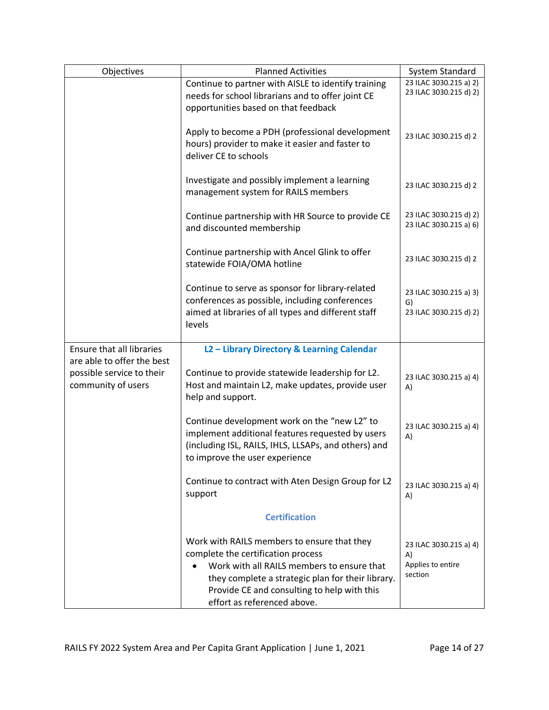| Objectives                                                                    | <b>Planned Activities</b>                                                                                                                                                                                                                                          | System Standard                                              |
|-------------------------------------------------------------------------------|--------------------------------------------------------------------------------------------------------------------------------------------------------------------------------------------------------------------------------------------------------------------|--------------------------------------------------------------|
|                                                                               | Continue to partner with AISLE to identify training<br>needs for school librarians and to offer joint CE<br>opportunities based on that feedback                                                                                                                   | 23 ILAC 3030.215 a) 2)<br>23 ILAC 3030.215 d) 2)             |
|                                                                               | Apply to become a PDH (professional development<br>hours) provider to make it easier and faster to<br>deliver CE to schools                                                                                                                                        | 23 ILAC 3030.215 d) 2                                        |
|                                                                               | Investigate and possibly implement a learning<br>management system for RAILS members                                                                                                                                                                               | 23 ILAC 3030.215 d) 2                                        |
|                                                                               | Continue partnership with HR Source to provide CE<br>and discounted membership                                                                                                                                                                                     | 23 ILAC 3030.215 d) 2)<br>23 ILAC 3030.215 a) 6)             |
|                                                                               | Continue partnership with Ancel Glink to offer<br>statewide FOIA/OMA hotline                                                                                                                                                                                       | 23 ILAC 3030.215 d) 2                                        |
|                                                                               | Continue to serve as sponsor for library-related<br>conferences as possible, including conferences<br>aimed at libraries of all types and different staff<br>levels                                                                                                | 23 ILAC 3030.215 a) 3)<br>G)<br>23 ILAC 3030.215 d) 2)       |
| Ensure that all libraries                                                     | L2 - Library Directory & Learning Calendar                                                                                                                                                                                                                         |                                                              |
| are able to offer the best<br>possible service to their<br>community of users | Continue to provide statewide leadership for L2.<br>Host and maintain L2, make updates, provide user<br>help and support.                                                                                                                                          | 23 ILAC 3030.215 a) 4)<br>A)                                 |
|                                                                               | Continue development work on the "new L2" to<br>implement additional features requested by users<br>(including ISL, RAILS, IHLS, LLSAPs, and others) and<br>to improve the user experience                                                                         | 23 ILAC 3030.215 a) 4)<br>A)                                 |
|                                                                               | Continue to contract with Aten Design Group for L2<br>support                                                                                                                                                                                                      | 23 ILAC 3030.215 a) 4)<br>A)                                 |
|                                                                               | <b>Certification</b>                                                                                                                                                                                                                                               |                                                              |
|                                                                               | Work with RAILS members to ensure that they<br>complete the certification process<br>Work with all RAILS members to ensure that<br>they complete a strategic plan for their library.<br>Provide CE and consulting to help with this<br>effort as referenced above. | 23 ILAC 3030.215 a) 4)<br>A)<br>Applies to entire<br>section |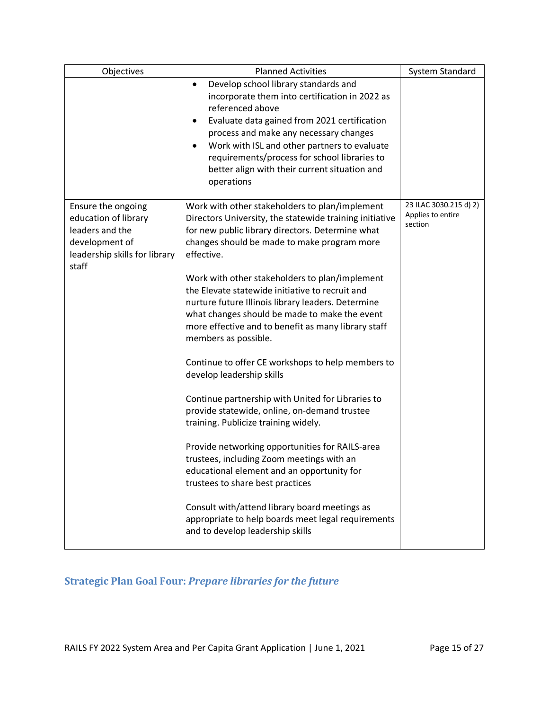| Objectives                                                                                                                | <b>Planned Activities</b>                                                                                                                                                                                                                                                                                                                                                                                                                                                                                                                                                                                                                                                                                                                                                                                                                                                                                                                                                                                                                                                         | <b>System Standard</b>                                 |
|---------------------------------------------------------------------------------------------------------------------------|-----------------------------------------------------------------------------------------------------------------------------------------------------------------------------------------------------------------------------------------------------------------------------------------------------------------------------------------------------------------------------------------------------------------------------------------------------------------------------------------------------------------------------------------------------------------------------------------------------------------------------------------------------------------------------------------------------------------------------------------------------------------------------------------------------------------------------------------------------------------------------------------------------------------------------------------------------------------------------------------------------------------------------------------------------------------------------------|--------------------------------------------------------|
|                                                                                                                           | Develop school library standards and<br>$\bullet$<br>incorporate them into certification in 2022 as<br>referenced above<br>Evaluate data gained from 2021 certification<br>$\bullet$<br>process and make any necessary changes<br>Work with ISL and other partners to evaluate<br>requirements/process for school libraries to<br>better align with their current situation and<br>operations                                                                                                                                                                                                                                                                                                                                                                                                                                                                                                                                                                                                                                                                                     |                                                        |
| Ensure the ongoing<br>education of library<br>leaders and the<br>development of<br>leadership skills for library<br>staff | Work with other stakeholders to plan/implement<br>Directors University, the statewide training initiative<br>for new public library directors. Determine what<br>changes should be made to make program more<br>effective.<br>Work with other stakeholders to plan/implement<br>the Elevate statewide initiative to recruit and<br>nurture future Illinois library leaders. Determine<br>what changes should be made to make the event<br>more effective and to benefit as many library staff<br>members as possible.<br>Continue to offer CE workshops to help members to<br>develop leadership skills<br>Continue partnership with United for Libraries to<br>provide statewide, online, on-demand trustee<br>training. Publicize training widely.<br>Provide networking opportunities for RAILS-area<br>trustees, including Zoom meetings with an<br>educational element and an opportunity for<br>trustees to share best practices<br>Consult with/attend library board meetings as<br>appropriate to help boards meet legal requirements<br>and to develop leadership skills | 23 ILAC 3030.215 d) 2)<br>Applies to entire<br>section |

## **Strategic Plan Goal Four:** *Prepare libraries for the future*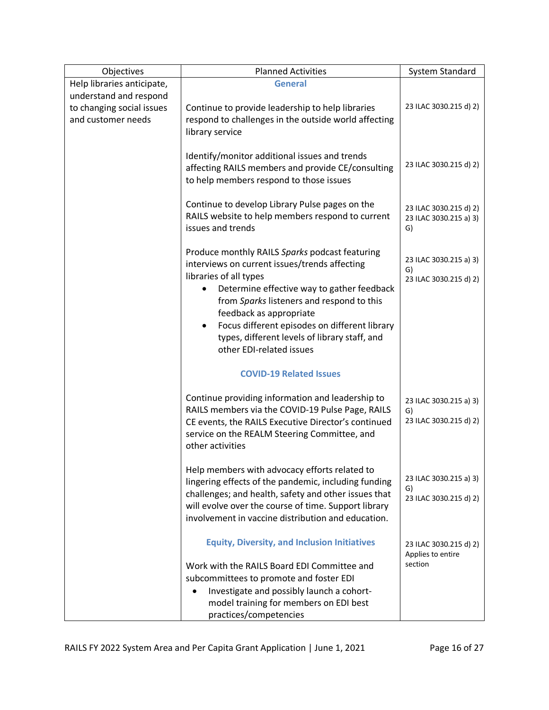| Objectives                                                                        | <b>Planned Activities</b>                                                                                                                                                                                                                                                   | System Standard                                        |
|-----------------------------------------------------------------------------------|-----------------------------------------------------------------------------------------------------------------------------------------------------------------------------------------------------------------------------------------------------------------------------|--------------------------------------------------------|
| Help libraries anticipate,<br>understand and respond<br>to changing social issues | <b>General</b><br>Continue to provide leadership to help libraries                                                                                                                                                                                                          | 23 ILAC 3030.215 d) 2)                                 |
| and customer needs                                                                | respond to challenges in the outside world affecting<br>library service                                                                                                                                                                                                     |                                                        |
|                                                                                   | Identify/monitor additional issues and trends<br>affecting RAILS members and provide CE/consulting<br>to help members respond to those issues                                                                                                                               | 23 ILAC 3030.215 d) 2)                                 |
|                                                                                   | Continue to develop Library Pulse pages on the<br>RAILS website to help members respond to current<br>issues and trends                                                                                                                                                     | 23 ILAC 3030.215 d) 2)<br>23 ILAC 3030.215 a) 3)<br>G) |
|                                                                                   | Produce monthly RAILS Sparks podcast featuring<br>interviews on current issues/trends affecting                                                                                                                                                                             | 23 ILAC 3030.215 a) 3)<br>G)                           |
|                                                                                   | libraries of all types<br>Determine effective way to gather feedback<br>from Sparks listeners and respond to this<br>feedback as appropriate<br>Focus different episodes on different library<br>types, different levels of library staff, and<br>other EDI-related issues  | 23 ILAC 3030.215 d) 2)                                 |
|                                                                                   | <b>COVID-19 Related Issues</b>                                                                                                                                                                                                                                              |                                                        |
|                                                                                   | Continue providing information and leadership to<br>RAILS members via the COVID-19 Pulse Page, RAILS<br>CE events, the RAILS Executive Director's continued<br>service on the REALM Steering Committee, and<br>other activities                                             | 23 ILAC 3030.215 a) 3)<br>G)<br>23 ILAC 3030.215 d) 2) |
|                                                                                   | Help members with advocacy efforts related to<br>lingering effects of the pandemic, including funding<br>challenges; and health, safety and other issues that<br>will evolve over the course of time. Support library<br>involvement in vaccine distribution and education. | 23 ILAC 3030.215 a) 3)<br>G)<br>23 ILAC 3030.215 d) 2) |
|                                                                                   | <b>Equity, Diversity, and Inclusion Initiatives</b>                                                                                                                                                                                                                         | 23 ILAC 3030.215 d) 2)<br>Applies to entire            |
|                                                                                   | Work with the RAILS Board EDI Committee and<br>subcommittees to promote and foster EDI                                                                                                                                                                                      | section                                                |
|                                                                                   | Investigate and possibly launch a cohort-<br>model training for members on EDI best                                                                                                                                                                                         |                                                        |
|                                                                                   | practices/competencies                                                                                                                                                                                                                                                      |                                                        |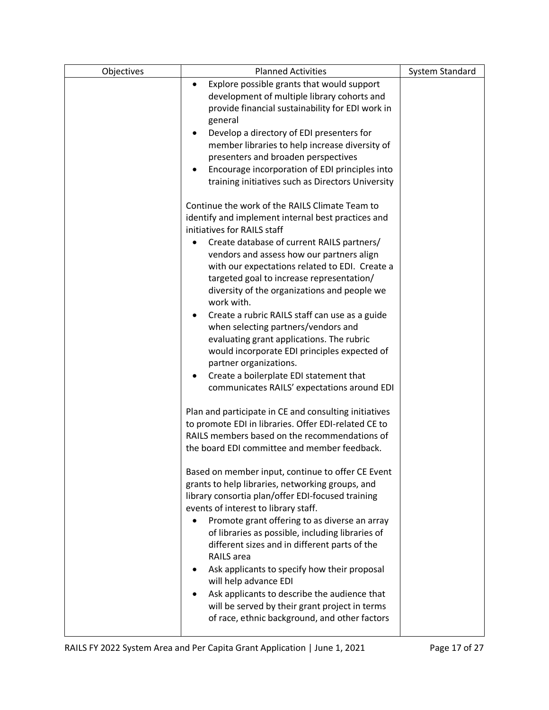| Objectives | <b>Planned Activities</b>                                  | System Standard |
|------------|------------------------------------------------------------|-----------------|
|            | Explore possible grants that would support<br>$\bullet$    |                 |
|            | development of multiple library cohorts and                |                 |
|            | provide financial sustainability for EDI work in           |                 |
|            | general                                                    |                 |
|            | Develop a directory of EDI presenters for<br>٠             |                 |
|            | member libraries to help increase diversity of             |                 |
|            | presenters and broaden perspectives                        |                 |
|            | Encourage incorporation of EDI principles into<br>٠        |                 |
|            | training initiatives such as Directors University          |                 |
|            | Continue the work of the RAILS Climate Team to             |                 |
|            | identify and implement internal best practices and         |                 |
|            | initiatives for RAILS staff                                |                 |
|            | Create database of current RAILS partners/                 |                 |
|            | vendors and assess how our partners align                  |                 |
|            | with our expectations related to EDI. Create a             |                 |
|            | targeted goal to increase representation/                  |                 |
|            | diversity of the organizations and people we<br>work with. |                 |
|            | Create a rubric RAILS staff can use as a guide             |                 |
|            | when selecting partners/vendors and                        |                 |
|            | evaluating grant applications. The rubric                  |                 |
|            | would incorporate EDI principles expected of               |                 |
|            | partner organizations.                                     |                 |
|            | Create a boilerplate EDI statement that                    |                 |
|            | communicates RAILS' expectations around EDI                |                 |
|            |                                                            |                 |
|            | Plan and participate in CE and consulting initiatives      |                 |
|            | to promote EDI in libraries. Offer EDI-related CE to       |                 |
|            | RAILS members based on the recommendations of              |                 |
|            | the board EDI committee and member feedback.               |                 |
|            | Based on member input, continue to offer CE Event          |                 |
|            | grants to help libraries, networking groups, and           |                 |
|            | library consortia plan/offer EDI-focused training          |                 |
|            | events of interest to library staff.                       |                 |
|            | Promote grant offering to as diverse an array              |                 |
|            | of libraries as possible, including libraries of           |                 |
|            | different sizes and in different parts of the              |                 |
|            | RAILS area                                                 |                 |
|            | Ask applicants to specify how their proposal               |                 |
|            | will help advance EDI                                      |                 |
|            | Ask applicants to describe the audience that               |                 |
|            | will be served by their grant project in terms             |                 |
|            | of race, ethnic background, and other factors              |                 |
|            |                                                            |                 |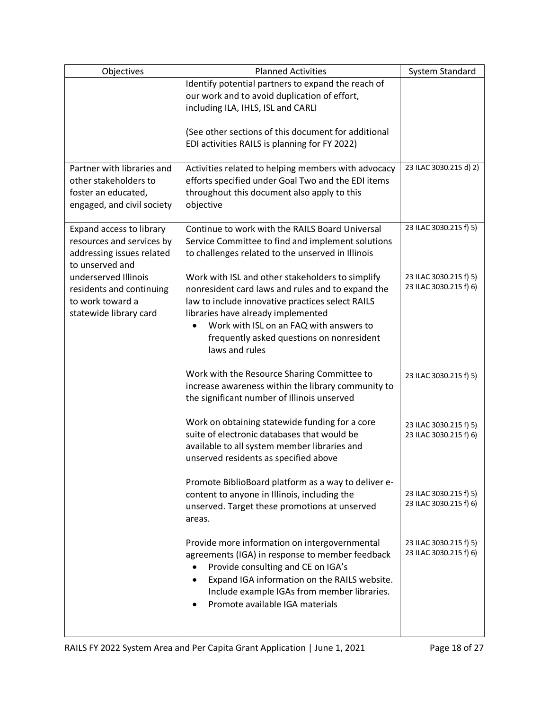| Objectives                                            | <b>Planned Activities</b>                                                                            | System Standard        |
|-------------------------------------------------------|------------------------------------------------------------------------------------------------------|------------------------|
|                                                       | Identify potential partners to expand the reach of                                                   |                        |
|                                                       | our work and to avoid duplication of effort,                                                         |                        |
|                                                       | including ILA, IHLS, ISL and CARLI                                                                   |                        |
|                                                       | (See other sections of this document for additional                                                  |                        |
|                                                       | EDI activities RAILS is planning for FY 2022)                                                        |                        |
|                                                       |                                                                                                      |                        |
| Partner with libraries and                            | Activities related to helping members with advocacy                                                  | 23 ILAC 3030.215 d) 2) |
| other stakeholders to                                 | efforts specified under Goal Two and the EDI items                                                   |                        |
| foster an educated,                                   | throughout this document also apply to this                                                          |                        |
| engaged, and civil society                            | objective                                                                                            |                        |
|                                                       |                                                                                                      | 23 ILAC 3030.215 f) 5) |
| Expand access to library<br>resources and services by | Continue to work with the RAILS Board Universal<br>Service Committee to find and implement solutions |                        |
| addressing issues related                             | to challenges related to the unserved in Illinois                                                    |                        |
| to unserved and                                       |                                                                                                      |                        |
| underserved Illinois                                  | Work with ISL and other stakeholders to simplify                                                     | 23 ILAC 3030.215 f) 5) |
| residents and continuing                              | nonresident card laws and rules and to expand the                                                    | 23 ILAC 3030.215 f) 6) |
| to work toward a                                      | law to include innovative practices select RAILS                                                     |                        |
| statewide library card                                | libraries have already implemented                                                                   |                        |
|                                                       | Work with ISL on an FAQ with answers to<br>$\bullet$                                                 |                        |
|                                                       | frequently asked questions on nonresident                                                            |                        |
|                                                       | laws and rules                                                                                       |                        |
|                                                       | Work with the Resource Sharing Committee to                                                          |                        |
|                                                       | increase awareness within the library community to                                                   | 23 ILAC 3030.215 f) 5) |
|                                                       | the significant number of Illinois unserved                                                          |                        |
|                                                       |                                                                                                      |                        |
|                                                       | Work on obtaining statewide funding for a core                                                       | 23 ILAC 3030.215 f) 5) |
|                                                       | suite of electronic databases that would be                                                          | 23 ILAC 3030.215 f) 6) |
|                                                       | available to all system member libraries and                                                         |                        |
|                                                       | unserved residents as specified above                                                                |                        |
|                                                       | Promote BiblioBoard platform as a way to deliver e-                                                  |                        |
|                                                       | content to anyone in Illinois, including the                                                         | 23 ILAC 3030.215 f) 5) |
|                                                       | unserved. Target these promotions at unserved                                                        | 23 ILAC 3030.215 f) 6) |
|                                                       | areas.                                                                                               |                        |
|                                                       |                                                                                                      |                        |
|                                                       | Provide more information on intergovernmental                                                        | 23 ILAC 3030.215 f) 5) |
|                                                       | agreements (IGA) in response to member feedback                                                      | 23 ILAC 3030.215 f) 6) |
|                                                       | Provide consulting and CE on IGA's<br>$\bullet$                                                      |                        |
|                                                       | Expand IGA information on the RAILS website.<br>$\bullet$                                            |                        |
|                                                       | Include example IGAs from member libraries.                                                          |                        |
|                                                       | Promote available IGA materials                                                                      |                        |
|                                                       |                                                                                                      |                        |
|                                                       |                                                                                                      |                        |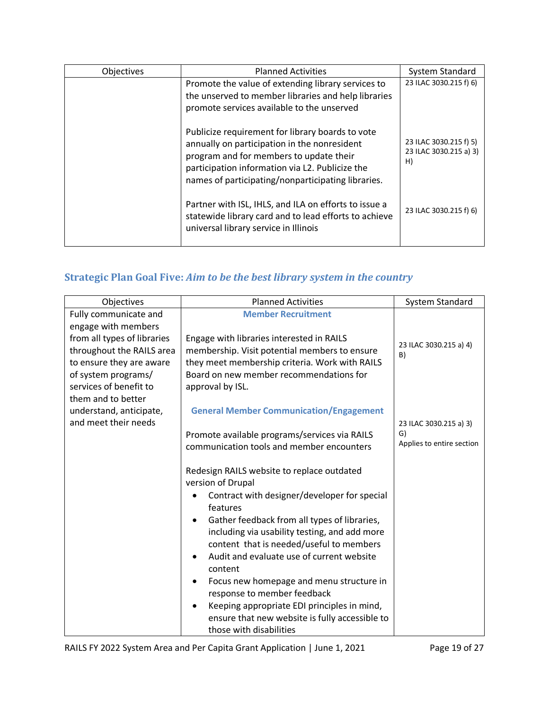| Objectives | <b>Planned Activities</b>                                                                                                                                                                                                                            | <b>System Standard</b>                                 |
|------------|------------------------------------------------------------------------------------------------------------------------------------------------------------------------------------------------------------------------------------------------------|--------------------------------------------------------|
|            | Promote the value of extending library services to<br>the unserved to member libraries and help libraries<br>promote services available to the unserved                                                                                              | 23 ILAC 3030.215 f) 6)                                 |
|            | Publicize requirement for library boards to vote<br>annually on participation in the nonresident<br>program and for members to update their<br>participation information via L2. Publicize the<br>names of participating/nonparticipating libraries. | 23 ILAC 3030.215 f) 5)<br>23 ILAC 3030.215 a) 3)<br>H) |
|            | Partner with ISL, IHLS, and ILA on efforts to issue a<br>statewide library card and to lead efforts to achieve<br>universal library service in Illinois                                                                                              | 23 ILAC 3030.215 f) 6)                                 |

## **Strategic Plan Goal Five:** *Aim to be the best library system in the country*

| Objectives                                                                                                                                                  | <b>Planned Activities</b>                                                                                                                                                                                   | <b>System Standard</b>                                    |
|-------------------------------------------------------------------------------------------------------------------------------------------------------------|-------------------------------------------------------------------------------------------------------------------------------------------------------------------------------------------------------------|-----------------------------------------------------------|
| Fully communicate and<br>engage with members                                                                                                                | <b>Member Recruitment</b>                                                                                                                                                                                   |                                                           |
| from all types of libraries<br>throughout the RAILS area<br>to ensure they are aware<br>of system programs/<br>services of benefit to<br>them and to better | Engage with libraries interested in RAILS<br>membership. Visit potential members to ensure<br>they meet membership criteria. Work with RAILS<br>Board on new member recommendations for<br>approval by ISL. | 23 ILAC 3030.215 a) 4)<br>B)                              |
| understand, anticipate,<br>and meet their needs                                                                                                             | <b>General Member Communication/Engagement</b><br>Promote available programs/services via RAILS<br>communication tools and member encounters                                                                | 23 ILAC 3030.215 a) 3)<br>G)<br>Applies to entire section |
|                                                                                                                                                             | Redesign RAILS website to replace outdated<br>version of Drupal<br>Contract with designer/developer for special                                                                                             |                                                           |
|                                                                                                                                                             | features<br>Gather feedback from all types of libraries,<br>$\bullet$<br>including via usability testing, and add more<br>content that is needed/useful to members                                          |                                                           |
|                                                                                                                                                             | Audit and evaluate use of current website<br>$\bullet$<br>content                                                                                                                                           |                                                           |
|                                                                                                                                                             | Focus new homepage and menu structure in<br>$\bullet$<br>response to member feedback<br>Keeping appropriate EDI principles in mind,<br>$\bullet$                                                            |                                                           |
|                                                                                                                                                             | ensure that new website is fully accessible to<br>those with disabilities                                                                                                                                   |                                                           |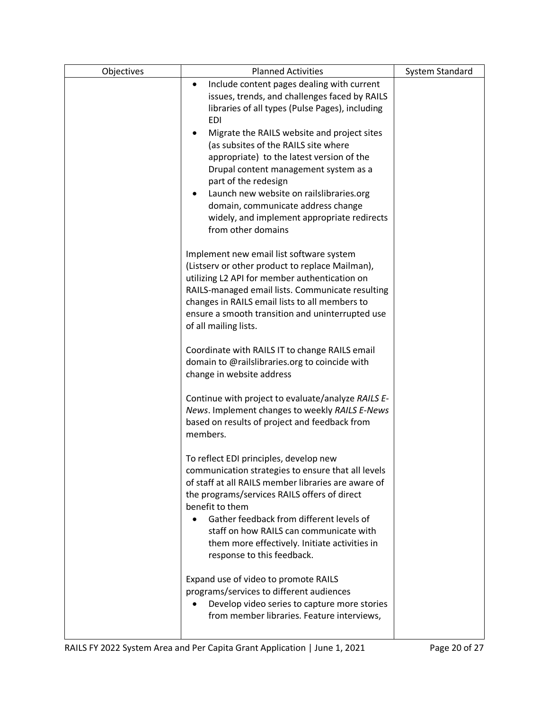| Objectives | <b>Planned Activities</b>                                                                        | <b>System Standard</b> |
|------------|--------------------------------------------------------------------------------------------------|------------------------|
|            | Include content pages dealing with current<br>$\bullet$                                          |                        |
|            | issues, trends, and challenges faced by RAILS                                                    |                        |
|            | libraries of all types (Pulse Pages), including                                                  |                        |
|            | <b>EDI</b>                                                                                       |                        |
|            | Migrate the RAILS website and project sites                                                      |                        |
|            | (as subsites of the RAILS site where                                                             |                        |
|            | appropriate) to the latest version of the                                                        |                        |
|            | Drupal content management system as a                                                            |                        |
|            | part of the redesign                                                                             |                        |
|            | Launch new website on railslibraries.org                                                         |                        |
|            | domain, communicate address change                                                               |                        |
|            | widely, and implement appropriate redirects                                                      |                        |
|            | from other domains                                                                               |                        |
|            |                                                                                                  |                        |
|            | Implement new email list software system                                                         |                        |
|            | (Listserv or other product to replace Mailman),<br>utilizing L2 API for member authentication on |                        |
|            | RAILS-managed email lists. Communicate resulting                                                 |                        |
|            | changes in RAILS email lists to all members to                                                   |                        |
|            | ensure a smooth transition and uninterrupted use                                                 |                        |
|            | of all mailing lists.                                                                            |                        |
|            |                                                                                                  |                        |
|            | Coordinate with RAILS IT to change RAILS email                                                   |                        |
|            | domain to @railslibraries.org to coincide with                                                   |                        |
|            | change in website address                                                                        |                        |
|            |                                                                                                  |                        |
|            | Continue with project to evaluate/analyze RAILS E-                                               |                        |
|            | News. Implement changes to weekly RAILS E-News                                                   |                        |
|            | based on results of project and feedback from                                                    |                        |
|            | members.                                                                                         |                        |
|            | To reflect EDI principles, develop new                                                           |                        |
|            | communication strategies to ensure that all levels                                               |                        |
|            | of staff at all RAILS member libraries are aware of                                              |                        |
|            | the programs/services RAILS offers of direct                                                     |                        |
|            | benefit to them                                                                                  |                        |
|            | Gather feedback from different levels of                                                         |                        |
|            | staff on how RAILS can communicate with                                                          |                        |
|            | them more effectively. Initiate activities in                                                    |                        |
|            | response to this feedback.                                                                       |                        |
|            | Expand use of video to promote RAILS                                                             |                        |
|            | programs/services to different audiences                                                         |                        |
|            | Develop video series to capture more stories                                                     |                        |
|            | from member libraries. Feature interviews,                                                       |                        |
|            |                                                                                                  |                        |
|            |                                                                                                  |                        |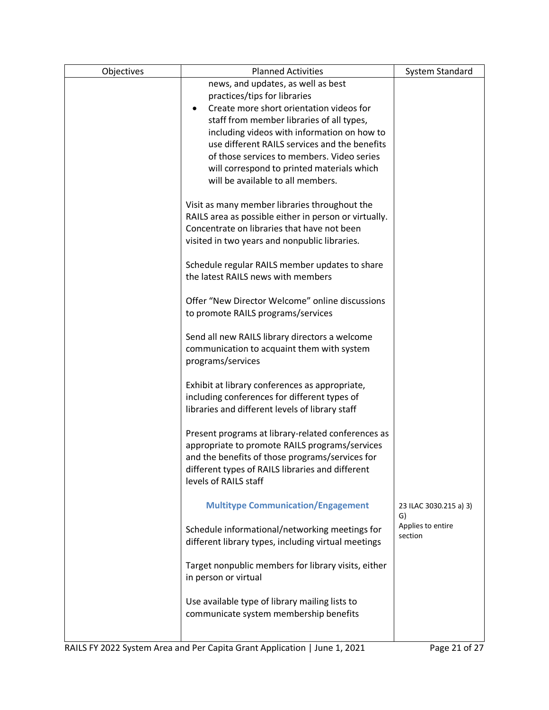| Objectives | <b>Planned Activities</b>                                                       | System Standard         |
|------------|---------------------------------------------------------------------------------|-------------------------|
|            | news, and updates, as well as best                                              |                         |
|            | practices/tips for libraries                                                    |                         |
|            | Create more short orientation videos for                                        |                         |
|            | staff from member libraries of all types,                                       |                         |
|            | including videos with information on how to                                     |                         |
|            | use different RAILS services and the benefits                                   |                         |
|            | of those services to members. Video series                                      |                         |
|            | will correspond to printed materials which<br>will be available to all members. |                         |
|            |                                                                                 |                         |
|            | Visit as many member libraries throughout the                                   |                         |
|            | RAILS area as possible either in person or virtually.                           |                         |
|            | Concentrate on libraries that have not been                                     |                         |
|            | visited in two years and nonpublic libraries.                                   |                         |
|            |                                                                                 |                         |
|            | Schedule regular RAILS member updates to share                                  |                         |
|            | the latest RAILS news with members                                              |                         |
|            |                                                                                 |                         |
|            | Offer "New Director Welcome" online discussions                                 |                         |
|            | to promote RAILS programs/services                                              |                         |
|            |                                                                                 |                         |
|            | Send all new RAILS library directors a welcome                                  |                         |
|            | communication to acquaint them with system                                      |                         |
|            | programs/services                                                               |                         |
|            | Exhibit at library conferences as appropriate,                                  |                         |
|            | including conferences for different types of                                    |                         |
|            | libraries and different levels of library staff                                 |                         |
|            |                                                                                 |                         |
|            | Present programs at library-related conferences as                              |                         |
|            | appropriate to promote RAILS programs/services                                  |                         |
|            | and the benefits of those programs/services for                                 |                         |
|            | different types of RAILS libraries and different                                |                         |
|            | levels of RAILS staff                                                           |                         |
|            |                                                                                 |                         |
|            | <b>Multitype Communication/Engagement</b>                                       | 23 ILAC 3030.215 a) 3)  |
|            |                                                                                 | G)<br>Applies to entire |
|            | Schedule informational/networking meetings for                                  | section                 |
|            | different library types, including virtual meetings                             |                         |
|            | Target nonpublic members for library visits, either                             |                         |
|            | in person or virtual                                                            |                         |
|            |                                                                                 |                         |
|            | Use available type of library mailing lists to                                  |                         |
|            | communicate system membership benefits                                          |                         |
|            |                                                                                 |                         |
|            |                                                                                 |                         |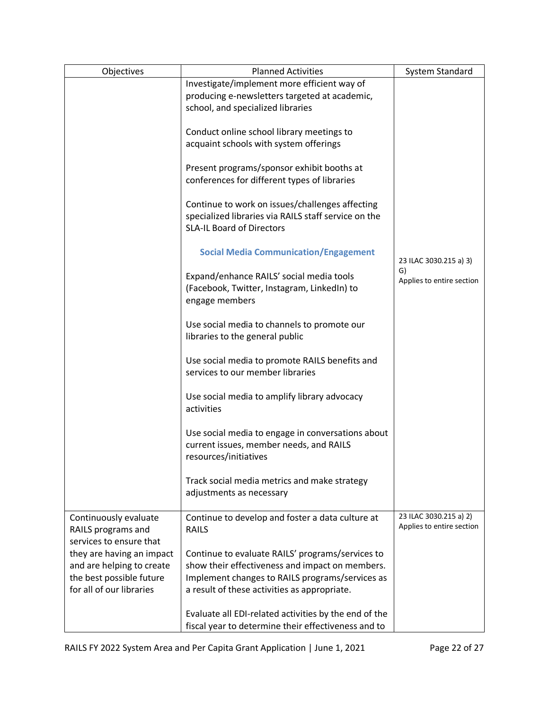| Objectives                                                             | <b>Planned Activities</b>                                                                                                                   | System Standard                                     |
|------------------------------------------------------------------------|---------------------------------------------------------------------------------------------------------------------------------------------|-----------------------------------------------------|
|                                                                        | Investigate/implement more efficient way of<br>producing e-newsletters targeted at academic,<br>school, and specialized libraries           |                                                     |
|                                                                        | Conduct online school library meetings to                                                                                                   |                                                     |
|                                                                        | acquaint schools with system offerings                                                                                                      |                                                     |
|                                                                        | Present programs/sponsor exhibit booths at<br>conferences for different types of libraries                                                  |                                                     |
|                                                                        | Continue to work on issues/challenges affecting<br>specialized libraries via RAILS staff service on the<br><b>SLA-IL Board of Directors</b> |                                                     |
|                                                                        | <b>Social Media Communication/Engagement</b>                                                                                                | 23 ILAC 3030.215 a) 3)                              |
|                                                                        | Expand/enhance RAILS' social media tools<br>(Facebook, Twitter, Instagram, LinkedIn) to<br>engage members                                   | G)<br>Applies to entire section                     |
|                                                                        | Use social media to channels to promote our<br>libraries to the general public                                                              |                                                     |
|                                                                        | Use social media to promote RAILS benefits and<br>services to our member libraries                                                          |                                                     |
|                                                                        | Use social media to amplify library advocacy<br>activities                                                                                  |                                                     |
|                                                                        | Use social media to engage in conversations about<br>current issues, member needs, and RAILS<br>resources/initiatives                       |                                                     |
|                                                                        | Track social media metrics and make strategy<br>adjustments as necessary                                                                    |                                                     |
| Continuously evaluate<br>RAILS programs and<br>services to ensure that | Continue to develop and foster a data culture at<br><b>RAILS</b>                                                                            | 23 ILAC 3030.215 a) 2)<br>Applies to entire section |
| they are having an impact                                              | Continue to evaluate RAILS' programs/services to                                                                                            |                                                     |
| and are helping to create                                              | show their effectiveness and impact on members.                                                                                             |                                                     |
| the best possible future                                               | Implement changes to RAILS programs/services as                                                                                             |                                                     |
| for all of our libraries                                               | a result of these activities as appropriate.                                                                                                |                                                     |
|                                                                        | Evaluate all EDI-related activities by the end of the                                                                                       |                                                     |
|                                                                        | fiscal year to determine their effectiveness and to                                                                                         |                                                     |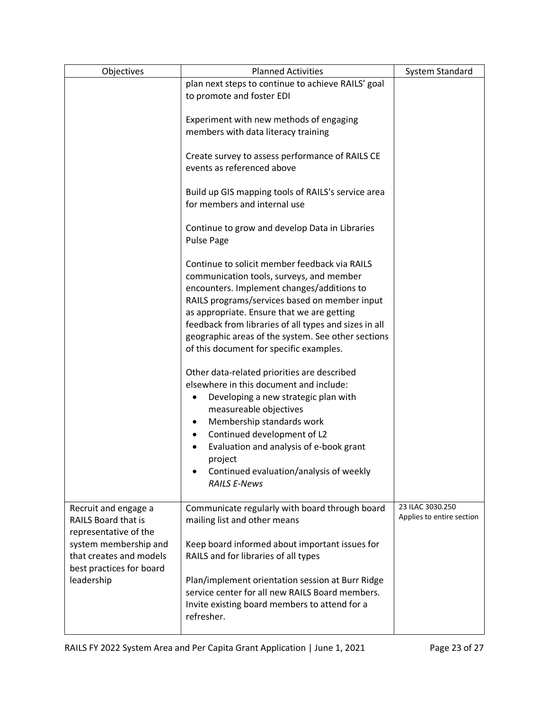| Objectives                                                                                                                                                  | <b>Planned Activities</b>                                                                                                                                                                                                                                                                                                                                                                        | System Standard                               |
|-------------------------------------------------------------------------------------------------------------------------------------------------------------|--------------------------------------------------------------------------------------------------------------------------------------------------------------------------------------------------------------------------------------------------------------------------------------------------------------------------------------------------------------------------------------------------|-----------------------------------------------|
|                                                                                                                                                             | plan next steps to continue to achieve RAILS' goal<br>to promote and foster EDI                                                                                                                                                                                                                                                                                                                  |                                               |
|                                                                                                                                                             | Experiment with new methods of engaging<br>members with data literacy training                                                                                                                                                                                                                                                                                                                   |                                               |
|                                                                                                                                                             | Create survey to assess performance of RAILS CE<br>events as referenced above                                                                                                                                                                                                                                                                                                                    |                                               |
|                                                                                                                                                             | Build up GIS mapping tools of RAILS's service area<br>for members and internal use                                                                                                                                                                                                                                                                                                               |                                               |
|                                                                                                                                                             | Continue to grow and develop Data in Libraries<br>Pulse Page                                                                                                                                                                                                                                                                                                                                     |                                               |
|                                                                                                                                                             | Continue to solicit member feedback via RAILS<br>communication tools, surveys, and member<br>encounters. Implement changes/additions to<br>RAILS programs/services based on member input<br>as appropriate. Ensure that we are getting<br>feedback from libraries of all types and sizes in all<br>geographic areas of the system. See other sections<br>of this document for specific examples. |                                               |
|                                                                                                                                                             | Other data-related priorities are described<br>elsewhere in this document and include:<br>Developing a new strategic plan with<br>measureable objectives<br>Membership standards work<br>Continued development of L2<br>Evaluation and analysis of e-book grant<br>project<br>Continued evaluation/analysis of weekly<br><b>RAILS E-News</b>                                                     |                                               |
| Recruit and engage a<br><b>RAILS Board that is</b><br>representative of the<br>system membership and<br>that creates and models<br>best practices for board | Communicate regularly with board through board<br>mailing list and other means<br>Keep board informed about important issues for<br>RAILS and for libraries of all types                                                                                                                                                                                                                         | 23 ILAC 3030.250<br>Applies to entire section |
| leadership                                                                                                                                                  | Plan/implement orientation session at Burr Ridge<br>service center for all new RAILS Board members.<br>Invite existing board members to attend for a<br>refresher.                                                                                                                                                                                                                               |                                               |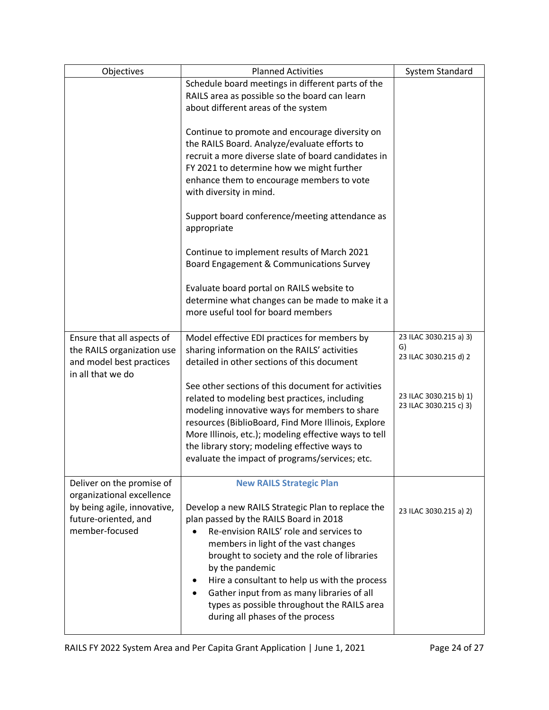| Objectives                                             | <b>Planned Activities</b>                                                                   | System Standard              |
|--------------------------------------------------------|---------------------------------------------------------------------------------------------|------------------------------|
|                                                        | Schedule board meetings in different parts of the                                           |                              |
|                                                        | RAILS area as possible so the board can learn                                               |                              |
|                                                        | about different areas of the system                                                         |                              |
|                                                        | Continue to promote and encourage diversity on                                              |                              |
|                                                        | the RAILS Board. Analyze/evaluate efforts to                                                |                              |
|                                                        | recruit a more diverse slate of board candidates in                                         |                              |
|                                                        | FY 2021 to determine how we might further                                                   |                              |
|                                                        | enhance them to encourage members to vote                                                   |                              |
|                                                        | with diversity in mind.                                                                     |                              |
|                                                        | Support board conference/meeting attendance as<br>appropriate                               |                              |
|                                                        | Continue to implement results of March 2021<br>Board Engagement & Communications Survey     |                              |
|                                                        | Evaluate board portal on RAILS website to                                                   |                              |
|                                                        | determine what changes can be made to make it a                                             |                              |
|                                                        | more useful tool for board members                                                          |                              |
|                                                        |                                                                                             |                              |
| Ensure that all aspects of                             | Model effective EDI practices for members by                                                | 23 ILAC 3030.215 a) 3)<br>G) |
| the RAILS organization use<br>and model best practices | sharing information on the RAILS' activities<br>detailed in other sections of this document | 23 ILAC 3030.215 d) 2        |
| in all that we do                                      |                                                                                             |                              |
|                                                        | See other sections of this document for activities                                          |                              |
|                                                        | related to modeling best practices, including                                               | 23 ILAC 3030.215 b) 1)       |
|                                                        | modeling innovative ways for members to share                                               | 23 ILAC 3030.215 c) 3)       |
|                                                        | resources (BiblioBoard, Find More Illinois, Explore                                         |                              |
|                                                        | More Illinois, etc.); modeling effective ways to tell                                       |                              |
|                                                        | the library story; modeling effective ways to                                               |                              |
|                                                        | evaluate the impact of programs/services; etc.                                              |                              |
| Deliver on the promise of                              | <b>New RAILS Strategic Plan</b>                                                             |                              |
| organizational excellence                              |                                                                                             |                              |
| by being agile, innovative,                            | Develop a new RAILS Strategic Plan to replace the                                           | 23 ILAC 3030.215 a) 2)       |
| future-oriented, and                                   | plan passed by the RAILS Board in 2018                                                      |                              |
| member-focused                                         | Re-envision RAILS' role and services to                                                     |                              |
|                                                        | members in light of the vast changes                                                        |                              |
|                                                        | brought to society and the role of libraries                                                |                              |
|                                                        | by the pandemic                                                                             |                              |
|                                                        | Hire a consultant to help us with the process                                               |                              |
|                                                        | Gather input from as many libraries of all<br>types as possible throughout the RAILS area   |                              |
|                                                        | during all phases of the process                                                            |                              |
|                                                        |                                                                                             |                              |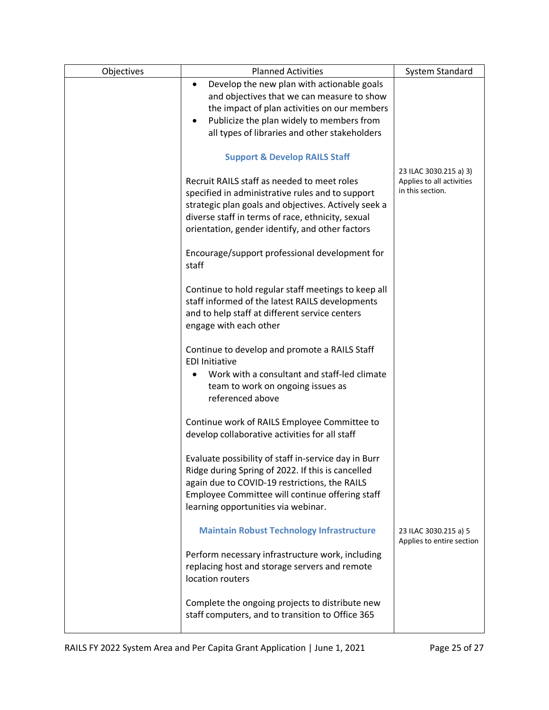| Objectives | <b>Planned Activities</b>                                                                                                                                                                                                                                       | System Standard                                                         |
|------------|-----------------------------------------------------------------------------------------------------------------------------------------------------------------------------------------------------------------------------------------------------------------|-------------------------------------------------------------------------|
|            | Develop the new plan with actionable goals                                                                                                                                                                                                                      |                                                                         |
|            | and objectives that we can measure to show                                                                                                                                                                                                                      |                                                                         |
|            | the impact of plan activities on our members                                                                                                                                                                                                                    |                                                                         |
|            | Publicize the plan widely to members from                                                                                                                                                                                                                       |                                                                         |
|            | all types of libraries and other stakeholders                                                                                                                                                                                                                   |                                                                         |
|            |                                                                                                                                                                                                                                                                 |                                                                         |
|            | <b>Support &amp; Develop RAILS Staff</b>                                                                                                                                                                                                                        |                                                                         |
|            | Recruit RAILS staff as needed to meet roles<br>specified in administrative rules and to support<br>strategic plan goals and objectives. Actively seek a<br>diverse staff in terms of race, ethnicity, sexual<br>orientation, gender identify, and other factors | 23 ILAC 3030.215 a) 3)<br>Applies to all activities<br>in this section. |
|            | Encourage/support professional development for<br>staff                                                                                                                                                                                                         |                                                                         |
|            | Continue to hold regular staff meetings to keep all<br>staff informed of the latest RAILS developments<br>and to help staff at different service centers<br>engage with each other                                                                              |                                                                         |
|            | Continue to develop and promote a RAILS Staff<br><b>EDI Initiative</b>                                                                                                                                                                                          |                                                                         |
|            | Work with a consultant and staff-led climate<br>team to work on ongoing issues as<br>referenced above                                                                                                                                                           |                                                                         |
|            | Continue work of RAILS Employee Committee to<br>develop collaborative activities for all staff                                                                                                                                                                  |                                                                         |
|            | Evaluate possibility of staff in-service day in Burr<br>Ridge during Spring of 2022. If this is cancelled<br>again due to COVID-19 restrictions, the RAILS<br>Employee Committee will continue offering staff<br>learning opportunities via webinar.            |                                                                         |
|            | <b>Maintain Robust Technology Infrastructure</b>                                                                                                                                                                                                                | 23 ILAC 3030.215 a) 5<br>Applies to entire section                      |
|            | Perform necessary infrastructure work, including<br>replacing host and storage servers and remote<br>location routers                                                                                                                                           |                                                                         |
|            | Complete the ongoing projects to distribute new<br>staff computers, and to transition to Office 365                                                                                                                                                             |                                                                         |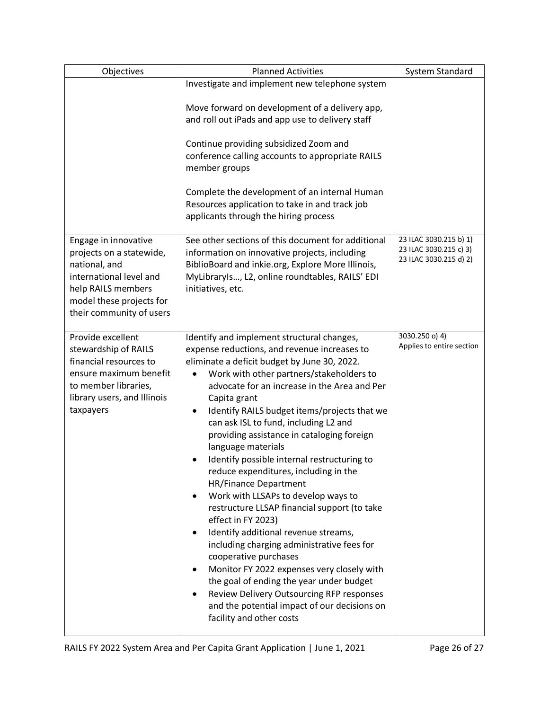| Objectives                                                                                                                                                                 | <b>Planned Activities</b>                                                                                                                                                                                                                                                                                                                                                                                                                                                                                                                                                                                                                                                                                                                                                                                                                                                                                                                                                                               | System Standard                                                            |
|----------------------------------------------------------------------------------------------------------------------------------------------------------------------------|---------------------------------------------------------------------------------------------------------------------------------------------------------------------------------------------------------------------------------------------------------------------------------------------------------------------------------------------------------------------------------------------------------------------------------------------------------------------------------------------------------------------------------------------------------------------------------------------------------------------------------------------------------------------------------------------------------------------------------------------------------------------------------------------------------------------------------------------------------------------------------------------------------------------------------------------------------------------------------------------------------|----------------------------------------------------------------------------|
|                                                                                                                                                                            | Investigate and implement new telephone system<br>Move forward on development of a delivery app,<br>and roll out iPads and app use to delivery staff<br>Continue providing subsidized Zoom and<br>conference calling accounts to appropriate RAILS<br>member groups<br>Complete the development of an internal Human<br>Resources application to take in and track job<br>applicants through the hiring process                                                                                                                                                                                                                                                                                                                                                                                                                                                                                                                                                                                         |                                                                            |
| Engage in innovative<br>projects on a statewide,<br>national, and<br>international level and<br>help RAILS members<br>model these projects for<br>their community of users | See other sections of this document for additional<br>information on innovative projects, including<br>BiblioBoard and inkie.org, Explore More Illinois,<br>MyLibraryIs, L2, online roundtables, RAILS' EDI<br>initiatives, etc.                                                                                                                                                                                                                                                                                                                                                                                                                                                                                                                                                                                                                                                                                                                                                                        | 23 ILAC 3030.215 b) 1)<br>23 ILAC 3030.215 c) 3)<br>23 ILAC 3030.215 d) 2) |
| Provide excellent<br>stewardship of RAILS<br>financial resources to<br>ensure maximum benefit<br>to member libraries,<br>library users, and Illinois<br>taxpayers          | Identify and implement structural changes,<br>expense reductions, and revenue increases to<br>eliminate a deficit budget by June 30, 2022.<br>Work with other partners/stakeholders to<br>$\bullet$<br>advocate for an increase in the Area and Per<br>Capita grant<br>Identify RAILS budget items/projects that we<br>can ask ISL to fund, including L2 and<br>providing assistance in cataloging foreign<br>language materials<br>Identify possible internal restructuring to<br>reduce expenditures, including in the<br><b>HR/Finance Department</b><br>Work with LLSAPs to develop ways to<br>restructure LLSAP financial support (to take<br>effect in FY 2023)<br>Identify additional revenue streams,<br>including charging administrative fees for<br>cooperative purchases<br>Monitor FY 2022 expenses very closely with<br>the goal of ending the year under budget<br>Review Delivery Outsourcing RFP responses<br>and the potential impact of our decisions on<br>facility and other costs | 3030.250 o) 4)<br>Applies to entire section                                |